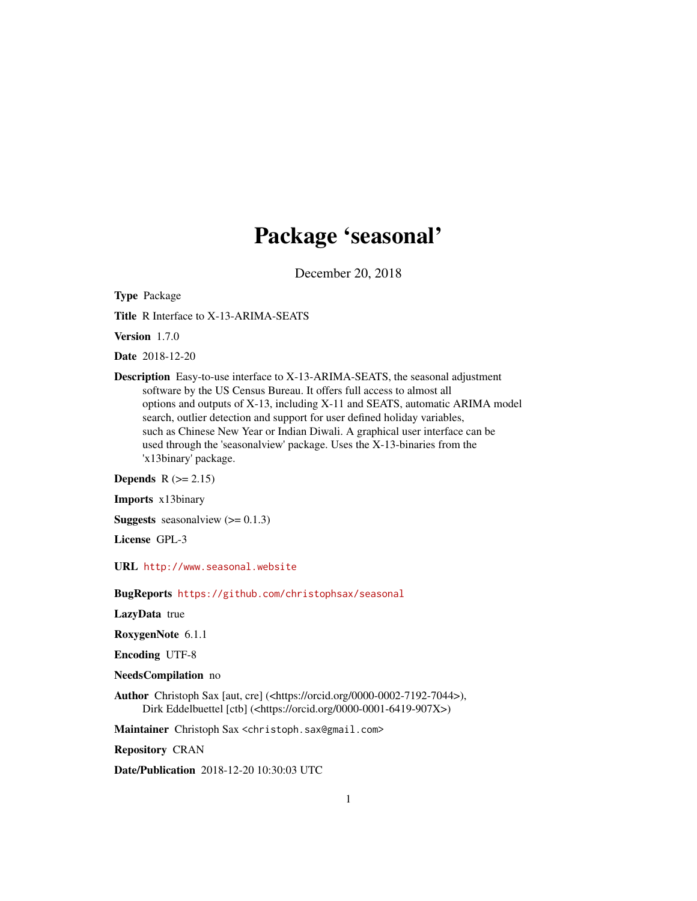# Package 'seasonal'

December 20, 2018

<span id="page-0-0"></span>Type Package

Title R Interface to X-13-ARIMA-SEATS

Version 1.7.0

Date 2018-12-20

Description Easy-to-use interface to X-13-ARIMA-SEATS, the seasonal adjustment software by the US Census Bureau. It offers full access to almost all options and outputs of X-13, including X-11 and SEATS, automatic ARIMA model search, outlier detection and support for user defined holiday variables, such as Chinese New Year or Indian Diwali. A graphical user interface can be used through the 'seasonalview' package. Uses the X-13-binaries from the 'x13binary' package.

Depends  $R$  ( $>= 2.15$ )

Imports x13binary

**Suggests** seasonalview  $(>= 0.1.3)$ 

License GPL-3

URL <http://www.seasonal.website>

BugReports <https://github.com/christophsax/seasonal>

LazyData true

RoxygenNote 6.1.1

Encoding UTF-8

NeedsCompilation no

Author Christoph Sax [aut, cre] (<https://orcid.org/0000-0002-7192-7044>), Dirk Eddelbuettel [ctb] (<https://orcid.org/0000-0001-6419-907X>)

Maintainer Christoph Sax <christoph.sax@gmail.com>

Repository CRAN

Date/Publication 2018-12-20 10:30:03 UTC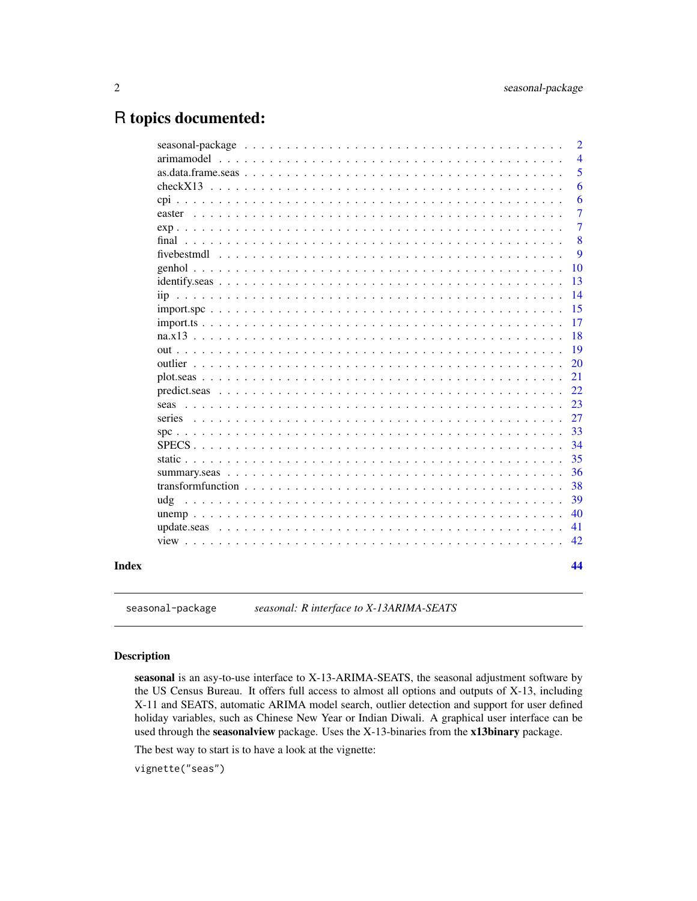# <span id="page-1-0"></span>R topics documented:

|             |  |  |  |  |  |  |  |  |  |  |  |  |  |  |  | $\overline{4}$ |
|-------------|--|--|--|--|--|--|--|--|--|--|--|--|--|--|--|----------------|
|             |  |  |  |  |  |  |  |  |  |  |  |  |  |  |  | 5              |
|             |  |  |  |  |  |  |  |  |  |  |  |  |  |  |  | 6              |
|             |  |  |  |  |  |  |  |  |  |  |  |  |  |  |  | 6              |
|             |  |  |  |  |  |  |  |  |  |  |  |  |  |  |  | 7              |
|             |  |  |  |  |  |  |  |  |  |  |  |  |  |  |  | 7              |
|             |  |  |  |  |  |  |  |  |  |  |  |  |  |  |  | 8              |
| fivebestmdl |  |  |  |  |  |  |  |  |  |  |  |  |  |  |  | 9              |
|             |  |  |  |  |  |  |  |  |  |  |  |  |  |  |  | 10             |
|             |  |  |  |  |  |  |  |  |  |  |  |  |  |  |  | 13             |
|             |  |  |  |  |  |  |  |  |  |  |  |  |  |  |  | 14             |
|             |  |  |  |  |  |  |  |  |  |  |  |  |  |  |  | 15             |
|             |  |  |  |  |  |  |  |  |  |  |  |  |  |  |  | 17             |
|             |  |  |  |  |  |  |  |  |  |  |  |  |  |  |  | 18             |
|             |  |  |  |  |  |  |  |  |  |  |  |  |  |  |  | 19             |
|             |  |  |  |  |  |  |  |  |  |  |  |  |  |  |  | 20             |
|             |  |  |  |  |  |  |  |  |  |  |  |  |  |  |  | 21             |
|             |  |  |  |  |  |  |  |  |  |  |  |  |  |  |  | 22             |
|             |  |  |  |  |  |  |  |  |  |  |  |  |  |  |  | 23             |
| series      |  |  |  |  |  |  |  |  |  |  |  |  |  |  |  | 27             |
|             |  |  |  |  |  |  |  |  |  |  |  |  |  |  |  | 33             |
|             |  |  |  |  |  |  |  |  |  |  |  |  |  |  |  | 34             |
|             |  |  |  |  |  |  |  |  |  |  |  |  |  |  |  | 35             |
|             |  |  |  |  |  |  |  |  |  |  |  |  |  |  |  | 36             |
|             |  |  |  |  |  |  |  |  |  |  |  |  |  |  |  | 38             |
| udg         |  |  |  |  |  |  |  |  |  |  |  |  |  |  |  | 39             |
|             |  |  |  |  |  |  |  |  |  |  |  |  |  |  |  | 40             |
|             |  |  |  |  |  |  |  |  |  |  |  |  |  |  |  | 41             |
|             |  |  |  |  |  |  |  |  |  |  |  |  |  |  |  | 42             |
|             |  |  |  |  |  |  |  |  |  |  |  |  |  |  |  | 44             |

seasonal-package *seasonal: R interface to X-13ARIMA-SEATS*

# <span id="page-1-1"></span>Description

seasonal is an asy-to-use interface to X-13-ARIMA-SEATS, the seasonal adjustment software by the US Census Bureau. It offers full access to almost all options and outputs of X-13, including X-11 and SEATS, automatic ARIMA model search, outlier detection and support for user defined holiday variables, such as Chinese New Year or Indian Diwali. A graphical user interface can be used through the seasonalview package. Uses the X-13-binaries from the x13binary package.

The best way to start is to have a look at the vignette:

vignette("seas")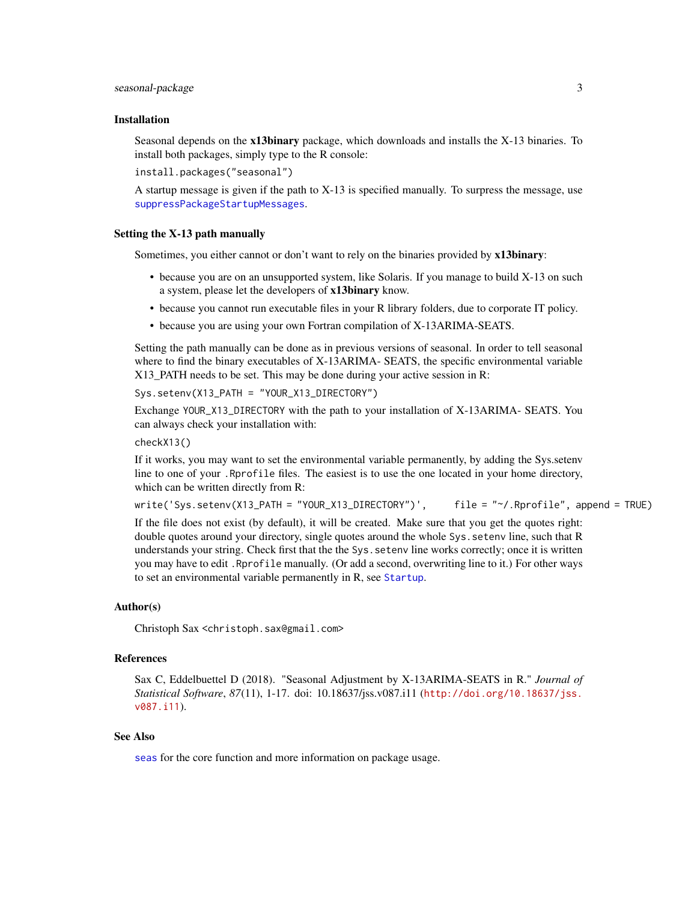#### <span id="page-2-0"></span>seasonal-package 3

#### Installation

Seasonal depends on the **x13binary** package, which downloads and installs the X-13 binaries. To install both packages, simply type to the R console:

install.packages("seasonal")

A startup message is given if the path to X-13 is specified manually. To surpress the message, use [suppressPackageStartupMessages](#page-0-0).

#### Setting the X-13 path manually

Sometimes, you either cannot or don't want to rely on the binaries provided by x13binary:

- because you are on an unsupported system, like Solaris. If you manage to build X-13 on such a system, please let the developers of x13binary know.
- because you cannot run executable files in your R library folders, due to corporate IT policy.
- because you are using your own Fortran compilation of X-13ARIMA-SEATS.

Setting the path manually can be done as in previous versions of seasonal. In order to tell seasonal where to find the binary executables of X-13ARIMA- SEATS, the specific environmental variable X13\_PATH needs to be set. This may be done during your active session in R:

Sys.setenv(X13\_PATH = "YOUR\_X13\_DIRECTORY")

Exchange YOUR\_X13\_DIRECTORY with the path to your installation of X-13ARIMA- SEATS. You can always check your installation with:

# checkX13()

If it works, you may want to set the environmental variable permanently, by adding the Sys.setenv line to one of your .Rprofile files. The easiest is to use the one located in your home directory, which can be written directly from R:

write('Sys.setenv(X13\_PATH = "YOUR\_X13\_DIRECTORY")', file = "~/.Rprofile", append = TRUE)

If the file does not exist (by default), it will be created. Make sure that you get the quotes right: double quotes around your directory, single quotes around the whole Sys.setenv line, such that R understands your string. Check first that the the Sys.setenv line works correctly; once it is written you may have to edit .Rprofile manually. (Or add a second, overwriting line to it.) For other ways to set an environmental variable permanently in R, see [Startup](#page-0-0).

#### Author(s)

Christoph Sax <christoph.sax@gmail.com>

# References

Sax C, Eddelbuettel D (2018). "Seasonal Adjustment by X-13ARIMA-SEATS in R." *Journal of Statistical Software*, *87*(11), 1-17. doi: 10.18637/jss.v087.i11 ([http://doi.org/10.18637/jss.](http://doi.org/10.18637/jss.v087.i11) [v087.i11](http://doi.org/10.18637/jss.v087.i11)).

#### See Also

[seas](#page-22-1) for the core function and more information on package usage.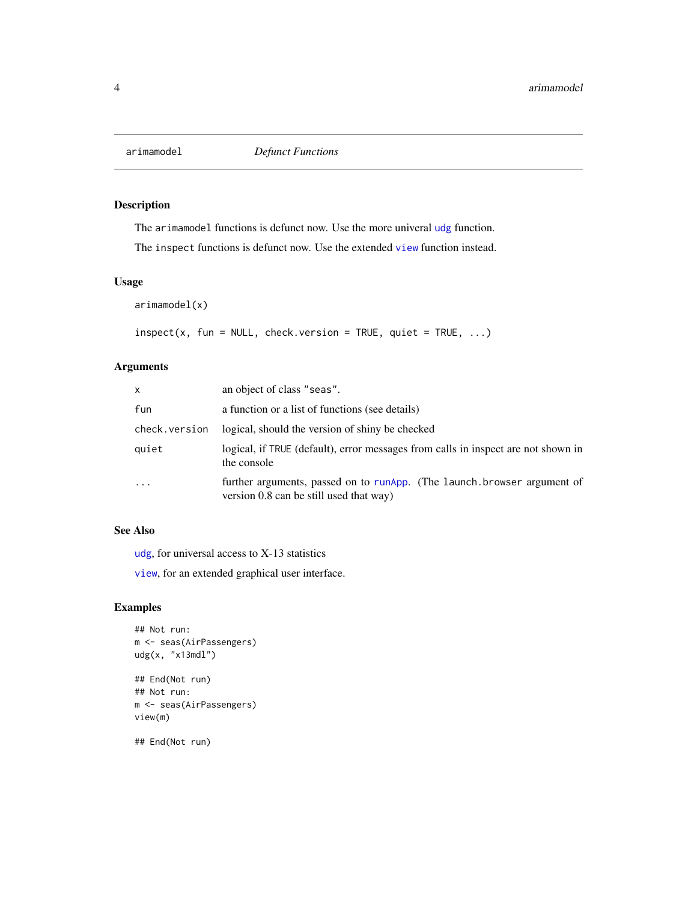<span id="page-3-0"></span>

The arimamodel functions is defunct now. Use the more univeral [udg](#page-38-1) function.

The inspect functions is defunct now. Use the extended [view](#page-41-1) function instead.

# Usage

arimamodel(x)

 $inspect(x, fun = NULL, check.version = TRUE, quiet = TRUE, ...)$ 

# Arguments

| X             | an object of class "seas".                                                                                         |
|---------------|--------------------------------------------------------------------------------------------------------------------|
| fun           | a function or a list of functions (see details)                                                                    |
| check.version | logical, should the version of shiny be checked                                                                    |
| quiet         | logical, if TRUE (default), error messages from calls in inspect are not shown in<br>the console                   |
| $\cdots$      | further arguments, passed on to runApp. (The launch browser argument of<br>version 0.8 can be still used that way) |

# See Also

[udg](#page-38-1), for universal access to X-13 statistics

[view](#page-41-1), for an extended graphical user interface.

# Examples

```
## Not run:
m <- seas(AirPassengers)
udg(x, "x13mdl")
## End(Not run)
## Not run:
m <- seas(AirPassengers)
view(m)
## End(Not run)
```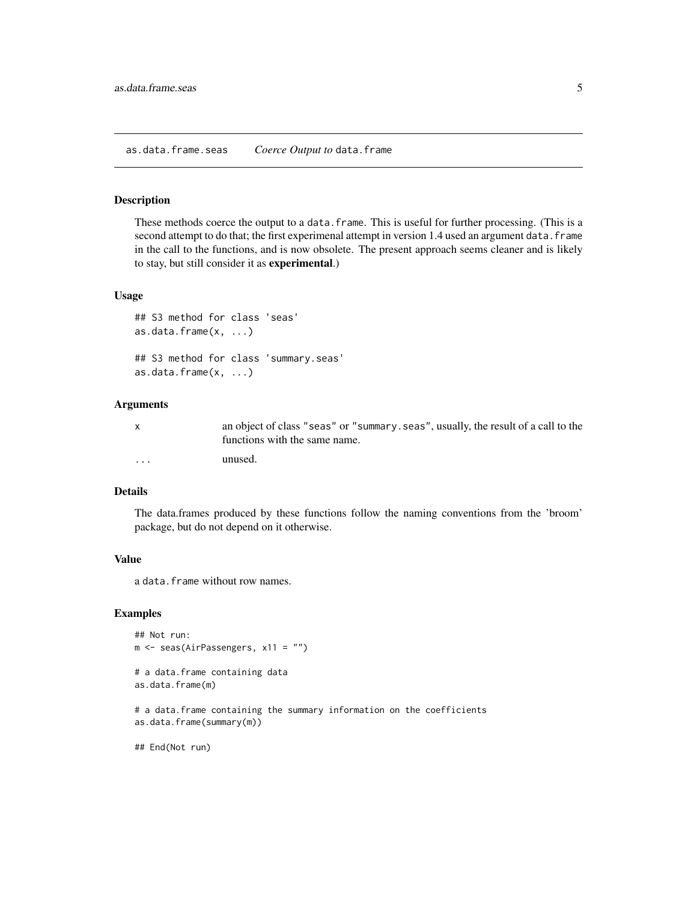<span id="page-4-0"></span>These methods coerce the output to a data.frame. This is useful for further processing. (This is a second attempt to do that; the first experimenal attempt in version 1.4 used an argument data. frame in the call to the functions, and is now obsolete. The present approach seems cleaner and is likely to stay, but still consider it as experimental.)

# Usage

```
## S3 method for class 'seas'
as.data.frame(x, ...)
## S3 method for class 'summary.seas'
as.data.frame(x, ...)
```
#### Arguments

|          | an object of class "seas" or "summary. seas", usually, the result of a call to the<br>functions with the same name. |
|----------|---------------------------------------------------------------------------------------------------------------------|
| $\cdots$ | unused.                                                                                                             |

# Details

The data.frames produced by these functions follow the naming conventions from the 'broom' package, but do not depend on it otherwise.

# Value

a data.frame without row names.

#### Examples

```
## Not run:
m <- seas(AirPassengers, x11 = "")
# a data.frame containing data
as.data.frame(m)
```
# a data.frame containing the summary information on the coefficients as.data.frame(summary(m))

## End(Not run)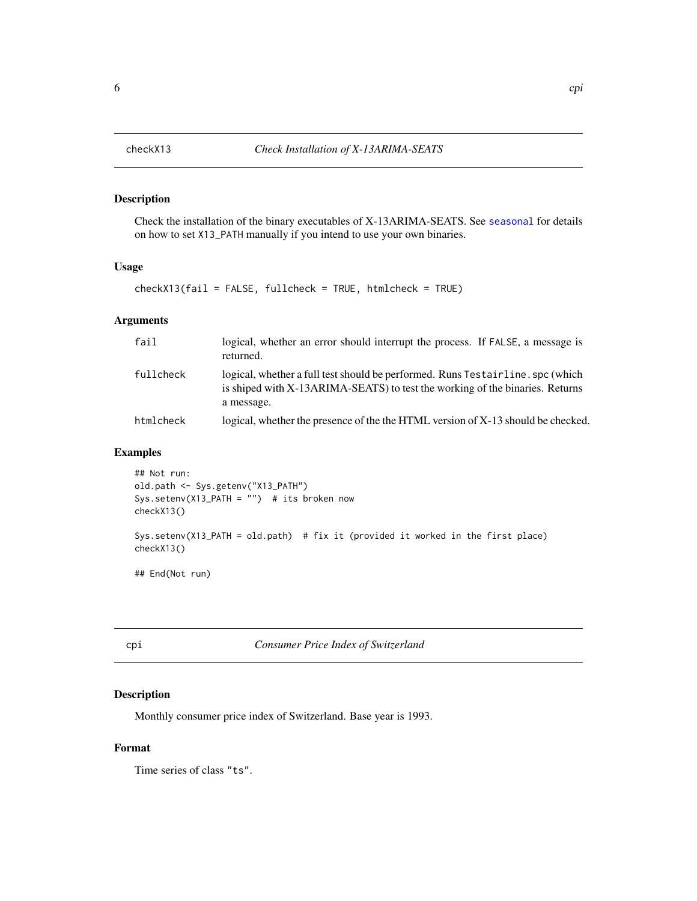Check the installation of the binary executables of X-13ARIMA-SEATS. See [seasonal](#page-1-1) for details on how to set X13\_PATH manually if you intend to use your own binaries.

#### Usage

checkX13(fail = FALSE, fullcheck = TRUE, htmlcheck = TRUE)

# Arguments

| fail      | logical, whether an error should interrupt the process. If FALSE, a message is<br>returned.                                                                                  |
|-----------|------------------------------------------------------------------------------------------------------------------------------------------------------------------------------|
| fullcheck | logical, whether a full test should be performed. Runs Testairline. spc (which<br>is shiped with X-13ARIMA-SEATS) to test the working of the binaries. Returns<br>a message. |
| htmlcheck | logical, whether the presence of the the HTML version of X-13 should be checked.                                                                                             |

# Examples

```
## Not run:
old.path <- Sys.getenv("X13_PATH")
Sys.setenv(X13_PATH = "") # its broken now
checkX13()
Sys.setenv(X13_PATH = old.path) # fix it (provided it worked in the first place)
checkX13()
```
## End(Not run)

cpi *Consumer Price Index of Switzerland*

# Description

Monthly consumer price index of Switzerland. Base year is 1993.

# Format

Time series of class "ts".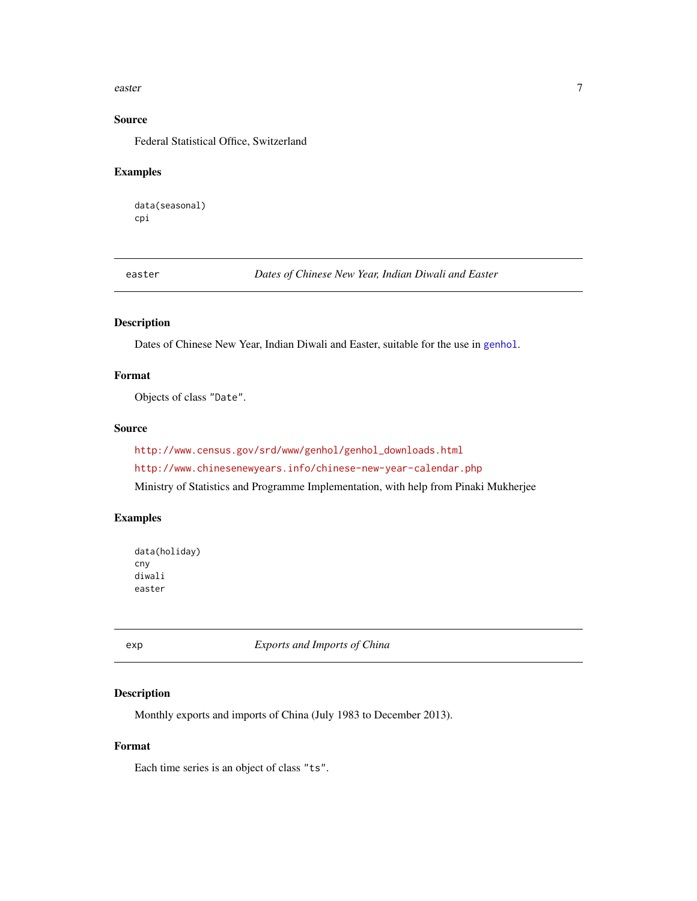#### <span id="page-6-0"></span>easter 7 and 2008 and 2008 and 2008 and 2008 and 2008 and 2008 and 2008 and 2008 and 2008 and 2008 and 2008 and 2008 and 2008 and 2008 and 2008 and 2008 and 2008 and 2008 and 2008 and 2008 and 2008 and 2008 and 2008 and 20

# Source

Federal Statistical Office, Switzerland

# Examples

data(seasonal) cpi

easter *Dates of Chinese New Year, Indian Diwali and Easter*

# Description

Dates of Chinese New Year, Indian Diwali and Easter, suitable for the use in [genhol](#page-9-1).

# Format

Objects of class "Date".

# Source

[http://www.census.gov/srd/www/genhol/genhol\\_downloads.html](http://www.census.gov/srd/www/genhol/genhol_downloads.html) <http://www.chinesenewyears.info/chinese-new-year-calendar.php> Ministry of Statistics and Programme Implementation, with help from Pinaki Mukherjee

#### Examples

```
data(holiday)
cny
diwali
easter
```
exp *Exports and Imports of China*

# Description

Monthly exports and imports of China (July 1983 to December 2013).

# Format

Each time series is an object of class "ts".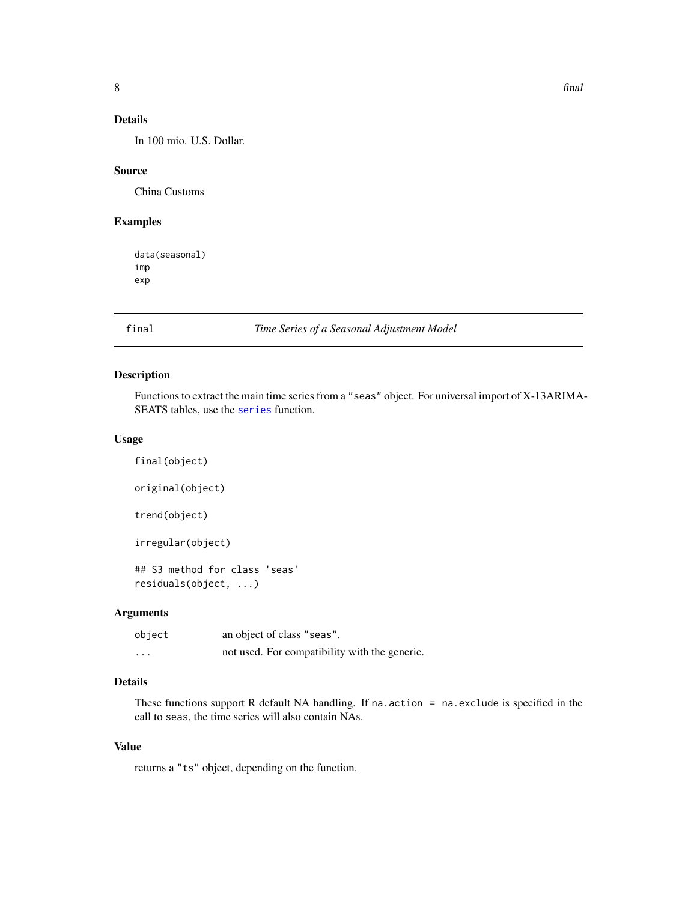# <span id="page-7-0"></span>Details

In 100 mio. U.S. Dollar.

# Source

China Customs

# Examples

data(seasonal) imp exp

# <span id="page-7-1"></span>final *Time Series of a Seasonal Adjustment Model*

# Description

Functions to extract the main time series from a "seas" object. For universal import of X-13ARIMA-SEATS tables, use the [series](#page-26-1) function.

# Usage

```
final(object)
original(object)
trend(object)
irregular(object)
## S3 method for class 'seas'
residuals(object, ...)
```
# Arguments

| object  | an object of class "seas".                    |
|---------|-----------------------------------------------|
| $\cdot$ | not used. For compatibility with the generic. |

# Details

These functions support R default NA handling. If na.action = na.exclude is specified in the call to seas, the time series will also contain NAs.

# Value

returns a "ts" object, depending on the function.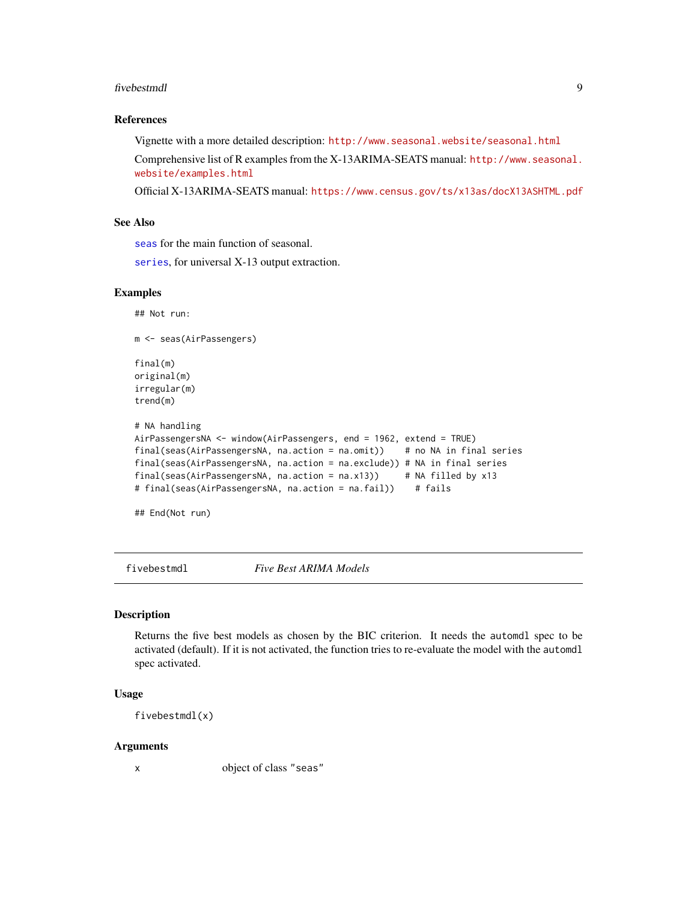#### <span id="page-8-0"></span>fivebestmdl 9

# References

Vignette with a more detailed description: <http://www.seasonal.website/seasonal.html> Comprehensive list of R examples from the X-13ARIMA-SEATS manual: [http://www.seasonal.](http://www.seasonal.website/examples.html) [website/examples.html](http://www.seasonal.website/examples.html)

Official X-13ARIMA-SEATS manual: <https://www.census.gov/ts/x13as/docX13ASHTML.pdf>

## See Also

[seas](#page-22-1) for the main function of seasonal.

[series](#page-26-1), for universal X-13 output extraction.

#### Examples

```
## Not run:
m <- seas(AirPassengers)
final(m)
original(m)
irregular(m)
trend(m)
# NA handling
AirPassengersNA <- window(AirPassengers, end = 1962, extend = TRUE)
final(seas(AirPassengersNA, na.action = na.omit)) # no NA in final series
final(seas(AirPassengersNA, na.action = na.exclude)) # NA in final series
final(seas(AirPassengersNA, na.action = na.x13)) # NA filled by x13
# final(seas(AirPassengersNA, na.action = na.fail)) # fails
```
## End(Not run)

fivebestmdl *Five Best ARIMA Models*

#### Description

Returns the five best models as chosen by the BIC criterion. It needs the automdl spec to be activated (default). If it is not activated, the function tries to re-evaluate the model with the automdl spec activated.

# Usage

```
fivebestmdl(x)
```
#### Arguments

x object of class "seas"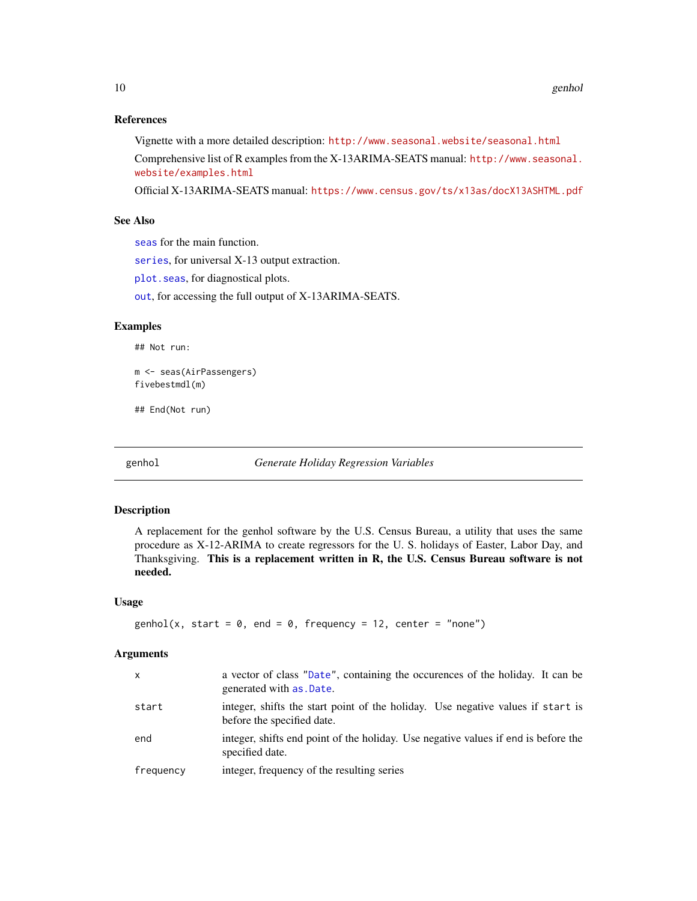### <span id="page-9-0"></span>References

Vignette with a more detailed description: <http://www.seasonal.website/seasonal.html> Comprehensive list of R examples from the X-13ARIMA-SEATS manual: [http://www.seasonal.](http://www.seasonal.website/examples.html) [website/examples.html](http://www.seasonal.website/examples.html)

Official X-13ARIMA-SEATS manual: <https://www.census.gov/ts/x13as/docX13ASHTML.pdf>

# See Also

[seas](#page-22-1) for the main function.

[series](#page-26-1), for universal X-13 output extraction.

[plot.seas](#page-20-1), for diagnostical plots.

[out](#page-18-1), for accessing the full output of X-13ARIMA-SEATS.

# Examples

## Not run:

m <- seas(AirPassengers) fivebestmdl(m)

## End(Not run)

<span id="page-9-1"></span>genhol *Generate Holiday Regression Variables*

#### Description

A replacement for the genhol software by the U.S. Census Bureau, a utility that uses the same procedure as X-12-ARIMA to create regressors for the U. S. holidays of Easter, Labor Day, and Thanksgiving. This is a replacement written in R, the U.S. Census Bureau software is not needed.

#### Usage

```
genhol(x, start = 0, end = 0, frequency = 12, center = "none")
```
#### Arguments

| $\mathsf{x}$ | a vector of class "Date", containing the occurences of the holiday. It can be<br>generated with as .Date.     |
|--------------|---------------------------------------------------------------------------------------------------------------|
| start        | integer, shifts the start point of the holiday. Use negative values if start is<br>before the specified date. |
| end          | integer, shifts end point of the holiday. Use negative values if end is before the<br>specified date.         |
| frequency    | integer, frequency of the resulting series                                                                    |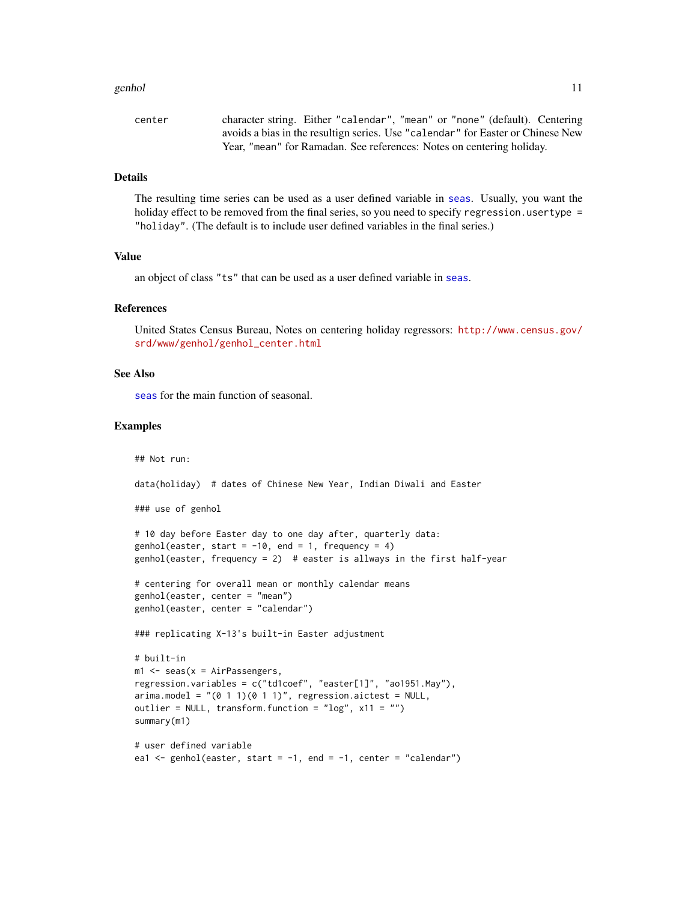#### <span id="page-10-0"></span>genhol 11

| center | character string. Either "calendar", "mean" or "none" (default). Centering      |
|--------|---------------------------------------------------------------------------------|
|        | avoids a bias in the resultign series. Use "calendar" for Easter or Chinese New |
|        | Year, "mean" for Ramadan. See references: Notes on centering holiday.           |

# Details

The resulting time series can be used as a user defined variable in [seas](#page-22-1). Usually, you want the holiday effect to be removed from the final series, so you need to specify regression.usertype = "holiday". (The default is to include user defined variables in the final series.)

# Value

an object of class "ts" that can be used as a user defined variable in [seas](#page-22-1).

#### References

United States Census Bureau, Notes on centering holiday regressors: [http://www.census.gov/](http://www.census.gov/srd/www/genhol/genhol_center.html) [srd/www/genhol/genhol\\_center.html](http://www.census.gov/srd/www/genhol/genhol_center.html)

#### See Also

[seas](#page-22-1) for the main function of seasonal.

#### Examples

## Not run:

data(holiday) # dates of Chinese New Year, Indian Diwali and Easter

### use of genhol

# 10 day before Easter day to one day after, quarterly data: genhol(easter, start =  $-10$ , end = 1, frequency = 4) genhol(easter, frequency = 2) # easter is allways in the first half-year

```
# centering for overall mean or monthly calendar means
genhol(easter, center = "mean")
genhol(easter, center = "calendar")
```
### replicating X-13's built-in Easter adjustment

```
# built-in
ml \leq seas(x = AirPassengers,
regression.variables = c("td1coef", "easter[1]", "ao1951.May"),
arima.model = "(<math>0 \ 1 \ 1</math>)(<math>0 \ 1 \ 1</math>)", regression.aictest = NULL,outlier = NULL, transform.function = "log", x11 = "")summary(m1)
```

```
# user defined variable
ea1 \leq genhol(easter, start = -1, end = -1, center = "calendar")
```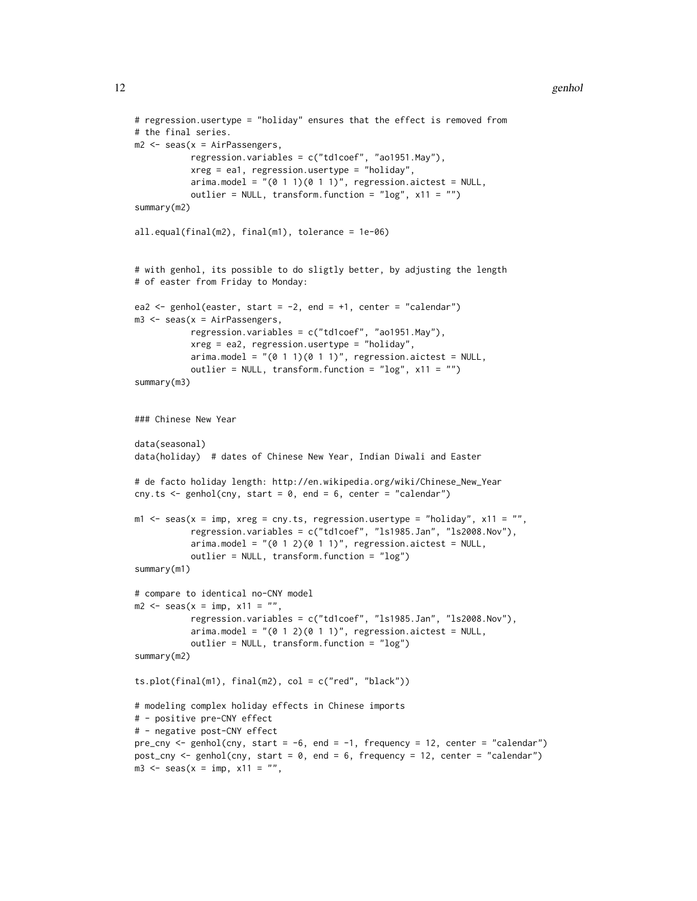#### 12 genhol

```
# regression.usertype = "holiday" ensures that the effect is removed from
# the final series.
m2 <- seas(x = AirPassengers,
           regression.variables = c("td1coef", "ao1951.May"),
           xreg = ea1, regression.usertype = "holiday",
           arima.model = "(0 1 1)(0 1 1)", regression.aictest = NULL,
           outlier = NULL, transform.function = "log", x11 = "")summary(m2)
all.equal(final(m2), final(m1), tolerance = 1e-06)
# with genhol, its possible to do sligtly better, by adjusting the length
# of easter from Friday to Monday:
ea2 \leq genhol(easter, start = -2, end = +1, center = "calendar")
m3 \leq seas(x = AirPassengers,
           regression.variables = c("td1coef", "ao1951.May"),
           xreg = ea2, regression.usertype = "holiday",
           arima.model = "(0 1 1)(0 1 1)", regression.aictest = NULL,
           outlier = NULL, transform.function = "log", x11 = "")
summary(m3)
### Chinese New Year
data(seasonal)
data(holiday) # dates of Chinese New Year, Indian Diwali and Easter
# de facto holiday length: http://en.wikipedia.org/wiki/Chinese_New_Year
cny.ts \leq genhol(cny, start = 0, end = 6, center = "calendar")
m1 \le - seas(x = imp, xreg = cny.ts, regression.usertype = "holiday", x11 = "",
           regression.variables = c("td1coef", "ls1985.Jan", "ls2008.Nov"),
           arima.model = "(0 1 2)(0 1 1)", regression.aictest = NULL,
           outlier = NULL, transform.function = "log")
summary(m1)
# compare to identical no-CNY model
m2 \le - seas(x = imp, x11 = "",
           regression.variables = c("td1coef", "ls1985.Jan", "ls2008.Nov"),
           arima.model = "(0 1 2)(0 1 1)", regression.aictest = NULL,
           outlier = NULL, transform.function = "log")
summary(m2)
ts.plot(final(m1), final(m2), col = c("red", "black"))# modeling complex holiday effects in Chinese imports
# - positive pre-CNY effect
# - negative post-CNY effect
pre_cny <- genhol(cny, start = -6, end = -1, frequency = 12, center = "calendar")
post_cny <- genhol(cny, start = 0, end = 6, frequency = 12, center = "calendar")
m3 \le - seas(x = imp, x11 = "",
```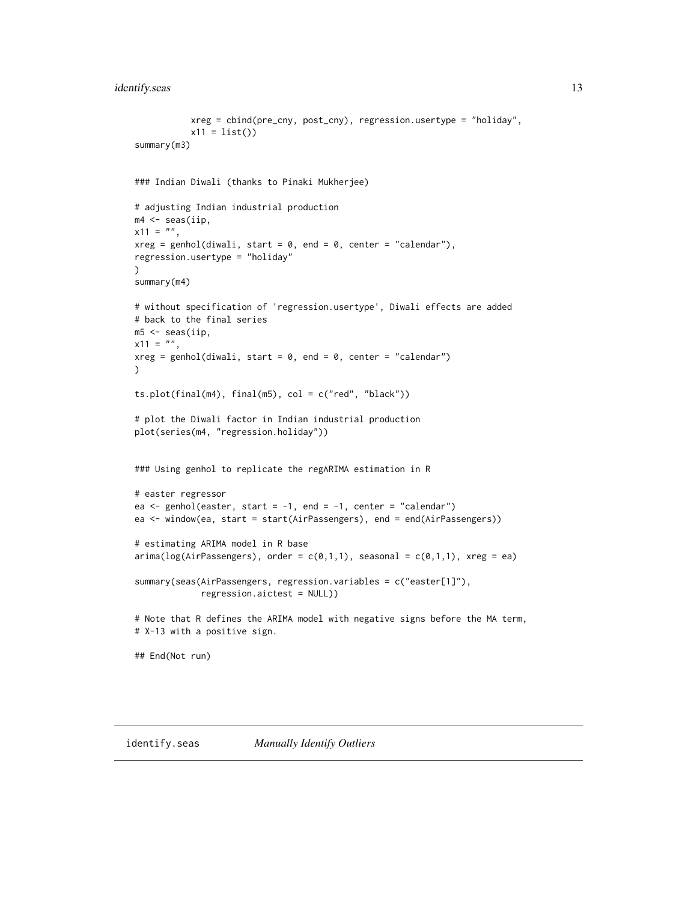# <span id="page-12-0"></span>identify.seas 13

```
xreg = cbind(pre_cny, post_cny), regression.usertype = "holiday",
           x11 = list()summary(m3)
### Indian Diwali (thanks to Pinaki Mukherjee)
# adjusting Indian industrial production
m4 <- seas(iip,
x11 = ",
xreg = genhol(divali, start = 0, end = 0, center = "calendar"),regression.usertype = "holiday"
)
summary(m4)
# without specification of 'regression.usertype', Diwali effects are added
# back to the final series
m5 <- seas(iip,
x11 = ",
xreg = genhol(diwali, start = 0, end = 0, center = "calendar")\mathcal{L}ts.plot(final(m4), final(m5), col = c("red", "black"))
# plot the Diwali factor in Indian industrial production
plot(series(m4, "regression.holiday"))
### Using genhol to replicate the regARIMA estimation in R
# easter regressor
ea \leq genhol(easter, start = -1, end = -1, center = "calendar")
ea <- window(ea, start = start(AirPassengers), end = end(AirPassengers))
# estimating ARIMA model in R base
\text{arima}(\text{log}(\text{AirPassengers}), \text{order} = c(0,1,1), \text{ seasonal} = c(0,1,1), \text{xreg} = ea)summary(seas(AirPassengers, regression.variables = c("easter[1]"),
             regression.aictest = NULL))
# Note that R defines the ARIMA model with negative signs before the MA term,
# X-13 with a positive sign.
## End(Not run)
```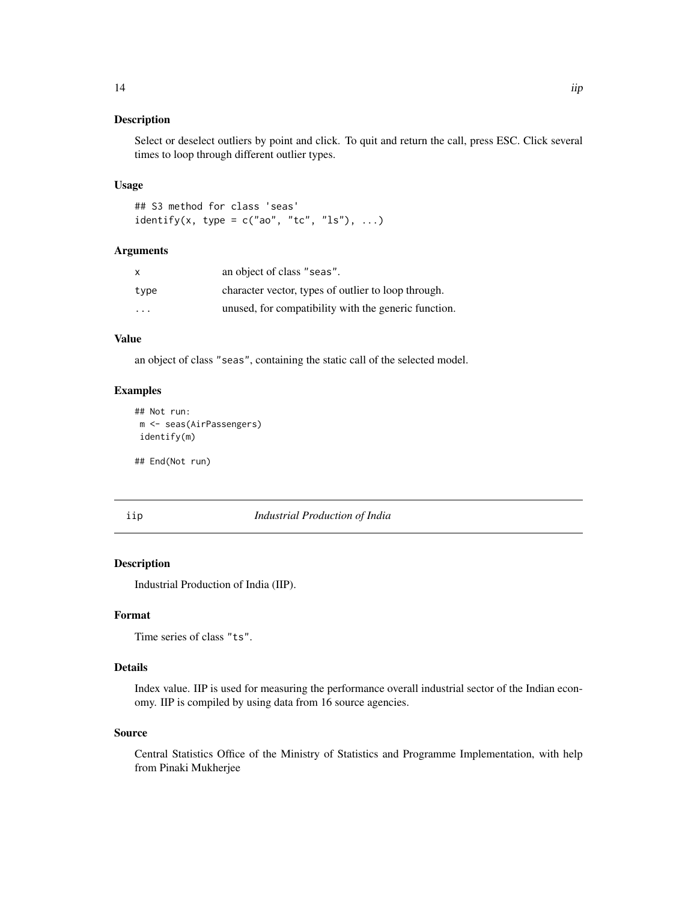Select or deselect outliers by point and click. To quit and return the call, press ESC. Click several times to loop through different outlier types.

#### Usage

## S3 method for class 'seas' identify(x, type =  $c("ao", "tc", "ls"), ...$ )

# Arguments

| X                       | an object of class "seas".                           |
|-------------------------|------------------------------------------------------|
| type                    | character vector, types of outlier to loop through.  |
| $\cdot$ $\cdot$ $\cdot$ | unused, for compatibility with the generic function. |

#### Value

an object of class "seas", containing the static call of the selected model.

#### Examples

```
## Not run:
m <- seas(AirPassengers)
identify(m)
```
## End(Not run)

iip *Industrial Production of India*

# Description

Industrial Production of India (IIP).

#### Format

Time series of class "ts".

#### Details

Index value. IIP is used for measuring the performance overall industrial sector of the Indian economy. IIP is compiled by using data from 16 source agencies.

# Source

Central Statistics Office of the Ministry of Statistics and Programme Implementation, with help from Pinaki Mukherjee

<span id="page-13-0"></span>14 *iip*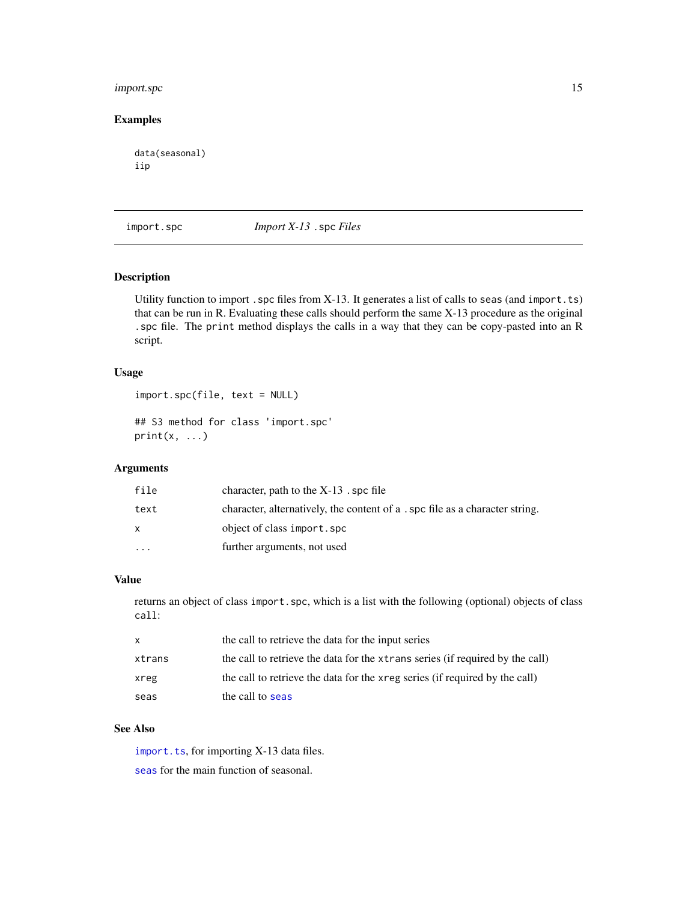# <span id="page-14-0"></span>import.spc 15

# Examples

data(seasonal) iip

# <span id="page-14-1"></span>import.spc *Import X-13* .spc *Files*

#### Description

Utility function to import . spc files from X-13. It generates a list of calls to seas (and import. ts) that can be run in R. Evaluating these calls should perform the same X-13 procedure as the original .spc file. The print method displays the calls in a way that they can be copy-pasted into an R script.

# Usage

```
import.spc(file, text = NULL)
```
## S3 method for class 'import.spc'  $print(x, ...)$ 

# Arguments

| file      | character, path to the $X-13$ . spc file                                     |
|-----------|------------------------------------------------------------------------------|
| text      | character, alternatively, the content of a . spc file as a character string. |
|           | object of class import.spc                                                   |
| $\ddotsc$ | further arguments, not used                                                  |

#### Value

returns an object of class import.spc, which is a list with the following (optional) objects of class call:

| x.     | the call to retrieve the data for the input series                            |
|--------|-------------------------------------------------------------------------------|
| xtrans | the call to retrieve the data for the xtrans series (if required by the call) |
| xreg   | the call to retrieve the data for the xreg series (if required by the call)   |
| seas   | the call to seas                                                              |

# See Also

[import.ts](#page-16-1), for importing X-13 data files. [seas](#page-22-1) for the main function of seasonal.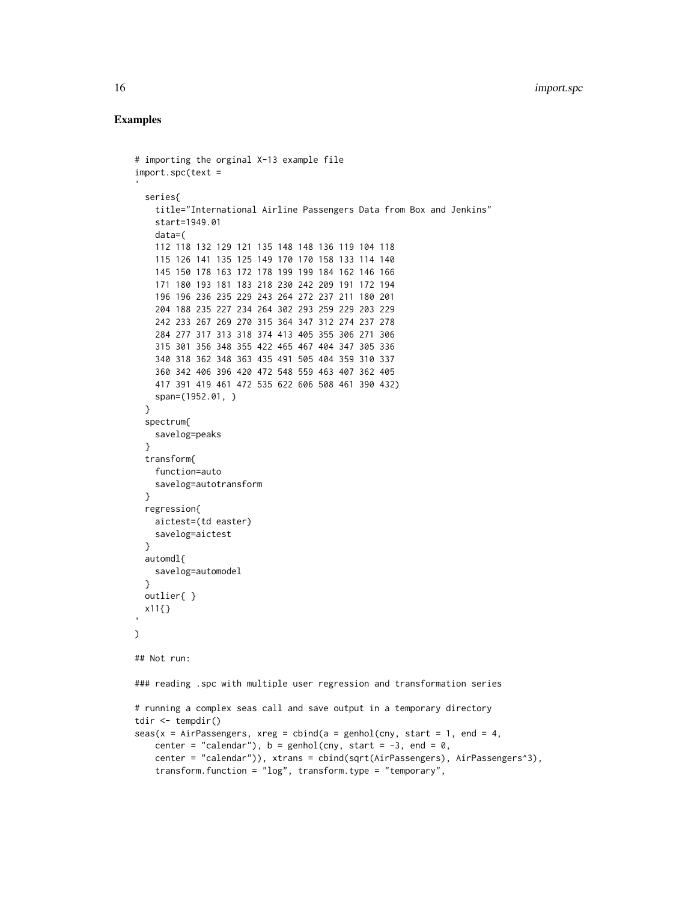# Examples

```
# importing the orginal X-13 example file
import.spc(text =
 series{
   title="International Airline Passengers Data from Box and Jenkins"
   start=1949.01
   data=(
   112 118 132 129 121 135 148 148 136 119 104 118
   115 126 141 135 125 149 170 170 158 133 114 140
   145 150 178 163 172 178 199 199 184 162 146 166
   171 180 193 181 183 218 230 242 209 191 172 194
   196 196 236 235 229 243 264 272 237 211 180 201
   204 188 235 227 234 264 302 293 259 229 203 229
   242 233 267 269 270 315 364 347 312 274 237 278
   284 277 317 313 318 374 413 405 355 306 271 306
   315 301 356 348 355 422 465 467 404 347 305 336
   340 318 362 348 363 435 491 505 404 359 310 337
   360 342 406 396 420 472 548 559 463 407 362 405
   417 391 419 461 472 535 622 606 508 461 390 432)
   span=(1952.01, )
 }
 spectrum{
   savelog=peaks
 }
 transform{
   function=auto
   savelog=autotransform
 }
 regression{
   aictest=(td easter)
   savelog=aictest
 }
 automdl{
   savelog=automodel
 }
 outlier{ }
 x11{}
)
## Not run:
### reading .spc with multiple user regression and transformation series
# running a complex seas call and save output in a temporary directory
tdir <- tempdir()
seas(x = AirPassengers, xreg = chind(a = genhol(cny, start = 1, end = 4,center = "calendar"), b = \text{genhol}(\text{cny}, \text{start} = -3, \text{end} = 0,center = "calendar")), xtrans = cbind(sqrt(AirPassengers), AirPassengers^3),
   transform.function = "log", transform.type = "temporary",
```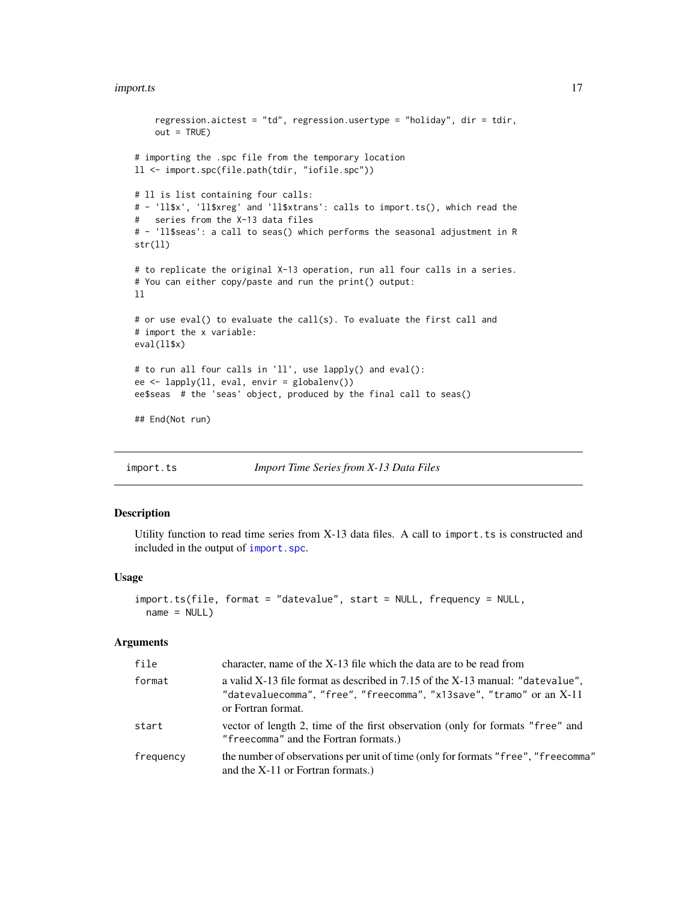#### <span id="page-16-0"></span>import.ts 17

```
regression.aictest = "td", regression.usertype = "holiday", dir = tdir,
    out = TRUE)
# importing the .spc file from the temporary location
ll <- import.spc(file.path(tdir, "iofile.spc"))
# ll is list containing four calls:
# - 'll$x', 'll$xreg' and 'll$xtrans': calls to import.ts(), which read the
# series from the X-13 data files
# - 'll$seas': a call to seas() which performs the seasonal adjustment in R
str(ll)
# to replicate the original X-13 operation, run all four calls in a series.
# You can either copy/paste and run the print() output:
ll
# or use eval() to evaluate the call(s). To evaluate the first call and
# import the x variable:
eval(ll$x)
# to run all four calls in 'll', use lapply() and eval():
ee <- lapply(ll, eval, envir = globalenv())
ee$seas # the 'seas' object, produced by the final call to seas()
## End(Not run)
```
<span id="page-16-1"></span>

import.ts *Import Time Series from X-13 Data Files*

# Description

Utility function to read time series from X-13 data files. A call to import.ts is constructed and included in the output of [import.spc](#page-14-1).

#### Usage

```
import.ts(file, format = "datevalue", start = NULL, frequency = NULL,
 name = NULL)
```
#### Arguments

| file      | character, name of the X-13 file which the data are to be read from                                                                                                          |
|-----------|------------------------------------------------------------------------------------------------------------------------------------------------------------------------------|
| format    | a valid X-13 file format as described in 7.15 of the X-13 manual: "datevalue",<br>"datevaluecomma", "free", "freecomma", "x13save", "tramo" or an X-11<br>or Fortran format. |
| start     | vector of length 2, time of the first observation (only for formats "free" and<br>"freecomma" and the Fortran formats.)                                                      |
| frequency | the number of observations per unit of time (only for formats "free", "freecomma"<br>and the $X-11$ or Fortran formats.)                                                     |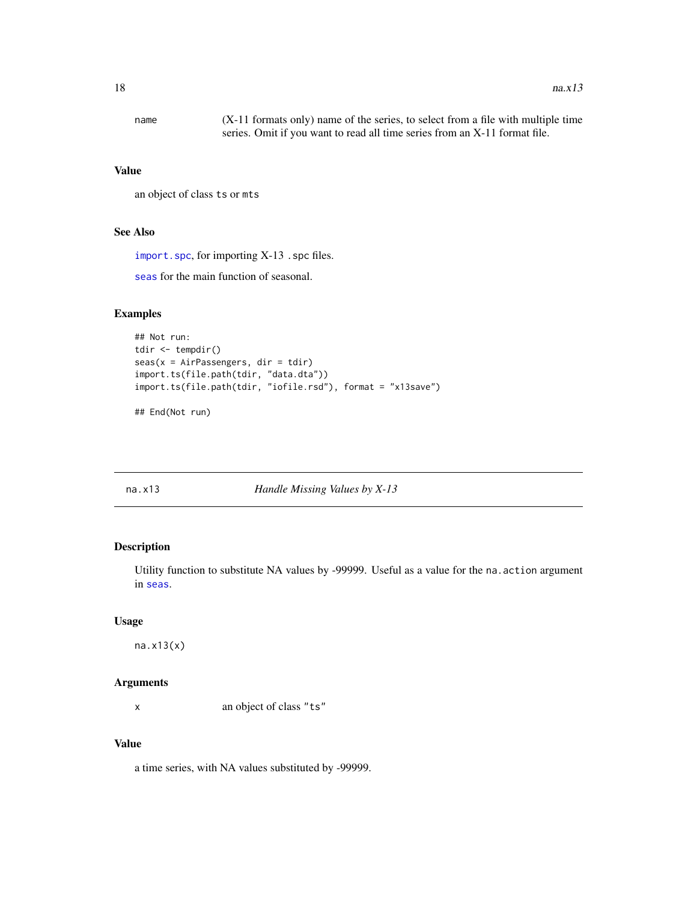<span id="page-17-0"></span>name (X-11 formats only) name of the series, to select from a file with multiple time series. Omit if you want to read all time series from an X-11 format file.

#### Value

```
an object of class ts or mts
```
# See Also

[import.spc](#page-14-1), for importing X-13 .spc files.

[seas](#page-22-1) for the main function of seasonal.

# Examples

```
## Not run:
tdir <- tempdir()
seas(x = AirPassengers, dir = tdir)import.ts(file.path(tdir, "data.dta"))
import.ts(file.path(tdir, "iofile.rsd"), format = "x13save")
```
## End(Not run)

na.x13 *Handle Missing Values by X-13*

## Description

Utility function to substitute NA values by -99999. Useful as a value for the na. action argument in [seas](#page-22-1).

#### Usage

na.x13(x)

#### Arguments

x an object of class "ts"

# Value

a time series, with NA values substituted by -99999.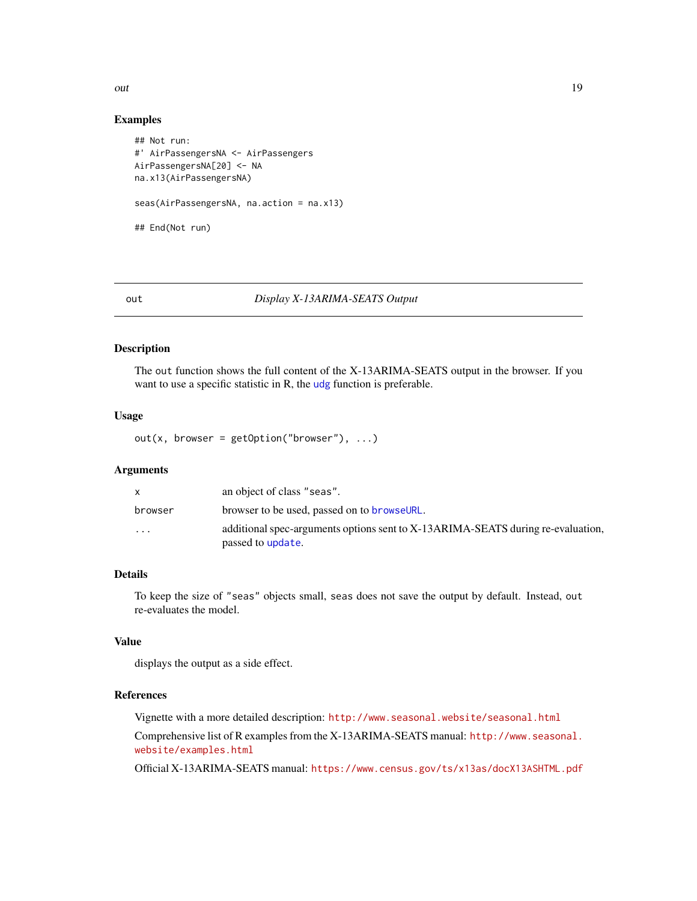<span id="page-18-0"></span>out the contract of the contract of the contract of the contract of the contract of the contract of the contract of the contract of the contract of the contract of the contract of the contract of the contract of the contra

#### Examples

```
## Not run:
#' AirPassengersNA <- AirPassengers
AirPassengersNA[20] <- NA
na.x13(AirPassengersNA)
seas(AirPassengersNA, na.action = na.x13)
## End(Not run)
```
#### <span id="page-18-1"></span>out *Display X-13ARIMA-SEATS Output*

#### Description

The out function shows the full content of the X-13ARIMA-SEATS output in the browser. If you want to use a specific statistic in R, the [udg](#page-38-1) function is preferable.

#### Usage

 $out(x, browser = getOption("browser"), ...)$ 

# Arguments

|                         | an object of class "seas".                                                                           |
|-------------------------|------------------------------------------------------------------------------------------------------|
| browser                 | browser to be used, passed on to <b>browseURL</b> .                                                  |
| $\cdot$ $\cdot$ $\cdot$ | additional spec-arguments options sent to X-13ARIMA-SEATS during re-evaluation,<br>passed to update. |

# Details

To keep the size of "seas" objects small, seas does not save the output by default. Instead, out re-evaluates the model.

# Value

displays the output as a side effect.

# References

Vignette with a more detailed description: <http://www.seasonal.website/seasonal.html>

Comprehensive list of R examples from the X-13ARIMA-SEATS manual: [http://www.seasonal.](http://www.seasonal.website/examples.html) [website/examples.html](http://www.seasonal.website/examples.html)

Official X-13ARIMA-SEATS manual: <https://www.census.gov/ts/x13as/docX13ASHTML.pdf>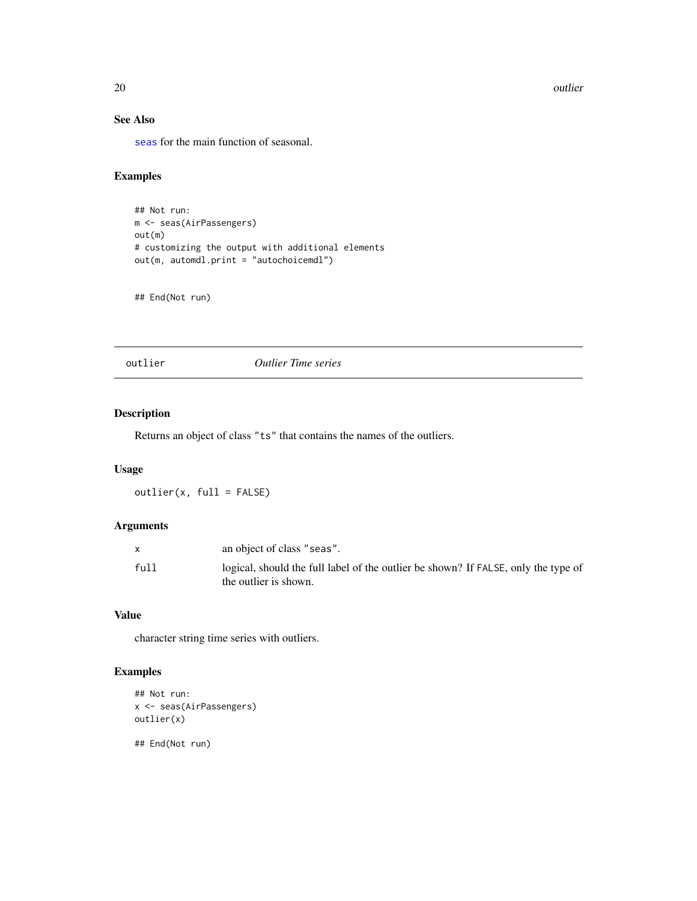20 outlier that the contract of the contract of the contract of the contract of the contract of the contract of the contract of the contract of the contract of the contract of the contract of the contract of the contract o

# See Also

[seas](#page-22-1) for the main function of seasonal.

# Examples

```
## Not run:
m <- seas(AirPassengers)
out(m)
# customizing the output with additional elements
out(m, automdl.print = "autochoicemdl")
```
## End(Not run)

outlier *Outlier Time series*

# Description

Returns an object of class "ts" that contains the names of the outliers.

# Usage

outlier(x, full = FALSE)

# Arguments

|      | an object of class "seas".                                                                                  |
|------|-------------------------------------------------------------------------------------------------------------|
| full | logical, should the full label of the outlier be shown? If FALSE, only the type of<br>the outlier is shown. |

# Value

character string time series with outliers.

# Examples

```
## Not run:
x <- seas(AirPassengers)
outlier(x)
## End(Not run)
```
<span id="page-19-0"></span>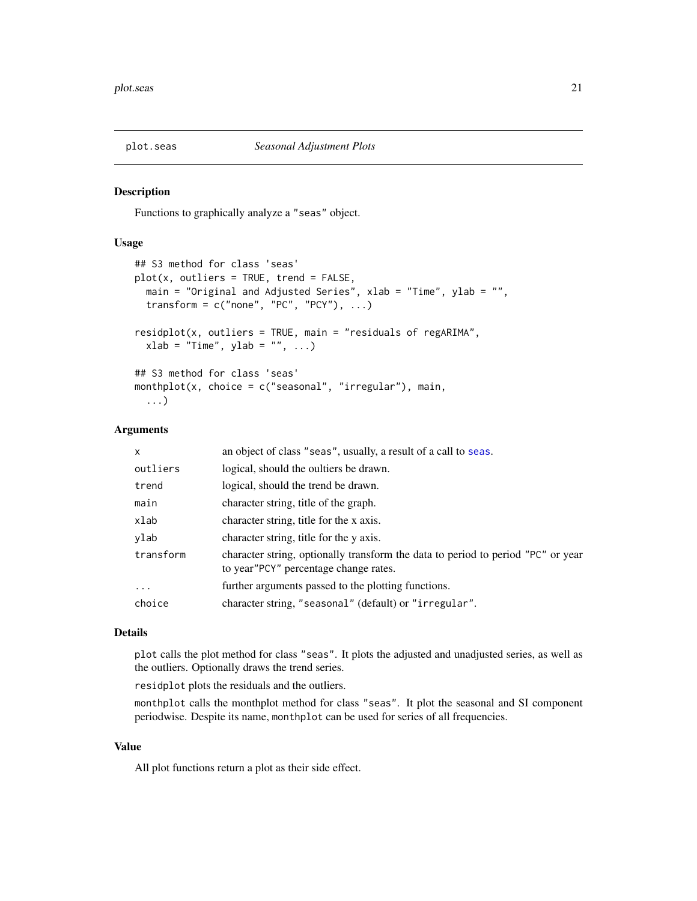<span id="page-20-1"></span><span id="page-20-0"></span>

Functions to graphically analyze a "seas" object.

### Usage

```
## S3 method for class 'seas'
plot(x, outliers = TRUE, trend = FALSE,main = "Original and Adjusted Series", xlab = "Time", ylab = "",
  transform = c("none", "PC", "PCY"), ...)residplot(x, outliers = TRUE, main = "residuals of regARIMA",
 xlab = "Time", ylab = "", ...)## S3 method for class 'seas'
monthplot(x, choice = c("seasonal", "irregular"), main,
  ...)
```
# Arguments

| $\mathsf{x}$ | an object of class "seas", usually, a result of a call to seas.                                                           |
|--------------|---------------------------------------------------------------------------------------------------------------------------|
| outliers     | logical, should the oultiers be drawn.                                                                                    |
| trend        | logical, should the trend be drawn.                                                                                       |
| main         | character string, title of the graph.                                                                                     |
| xlab         | character string, title for the x axis.                                                                                   |
| ylab         | character string, title for the y axis.                                                                                   |
| transform    | character string, optionally transform the data to period to period "PC" or year<br>to year"PCY" percentage change rates. |
| $\cdots$     | further arguments passed to the plotting functions.                                                                       |
| choice       | character string, "seasonal" (default) or "irregular".                                                                    |

# Details

plot calls the plot method for class "seas". It plots the adjusted and unadjusted series, as well as the outliers. Optionally draws the trend series.

residplot plots the residuals and the outliers.

monthplot calls the monthplot method for class "seas". It plot the seasonal and SI component periodwise. Despite its name, monthplot can be used for series of all frequencies.

# Value

All plot functions return a plot as their side effect.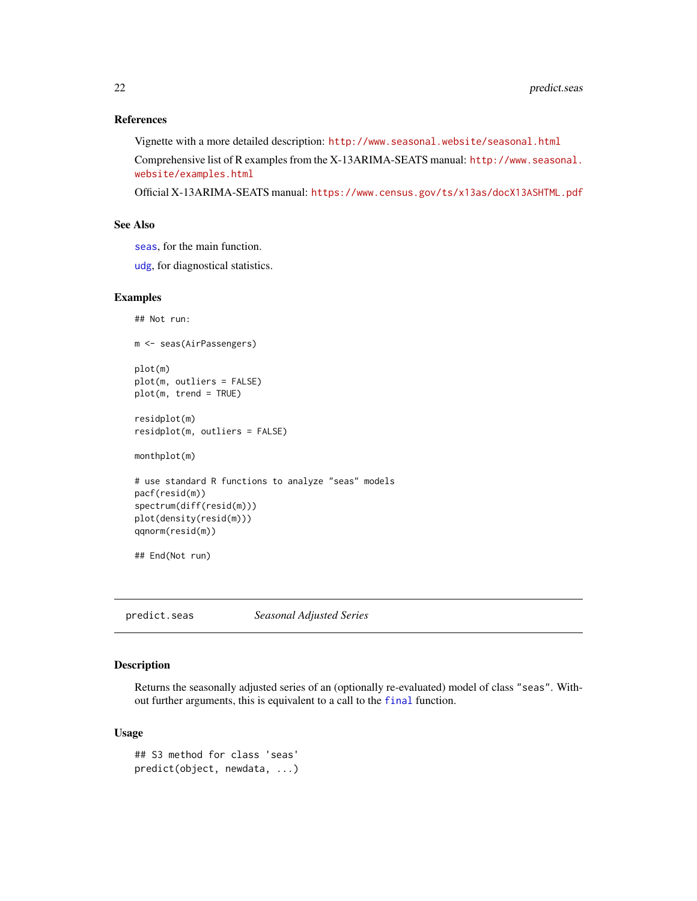#### <span id="page-21-0"></span>References

Vignette with a more detailed description: <http://www.seasonal.website/seasonal.html> Comprehensive list of R examples from the X-13ARIMA-SEATS manual: [http://www.seasonal.](http://www.seasonal.website/examples.html) [website/examples.html](http://www.seasonal.website/examples.html)

Official X-13ARIMA-SEATS manual: <https://www.census.gov/ts/x13as/docX13ASHTML.pdf>

# See Also

[seas](#page-22-1), for the main function.

[udg](#page-38-1), for diagnostical statistics.

#### Examples

```
## Not run:
m <- seas(AirPassengers)
plot(m)
plot(m, outliers = FALSE)
plot(m, trend = TRUE)
residplot(m)
residplot(m, outliers = FALSE)
monthplot(m)
# use standard R functions to analyze "seas" models
pacf(resid(m))
spectrum(diff(resid(m)))
plot(density(resid(m)))
qqnorm(resid(m))
## End(Not run)
```
predict.seas *Seasonal Adjusted Series*

# Description

Returns the seasonally adjusted series of an (optionally re-evaluated) model of class "seas". Without further arguments, this is equivalent to a call to the [final](#page-7-1) function.

# Usage

```
## S3 method for class 'seas'
predict(object, newdata, ...)
```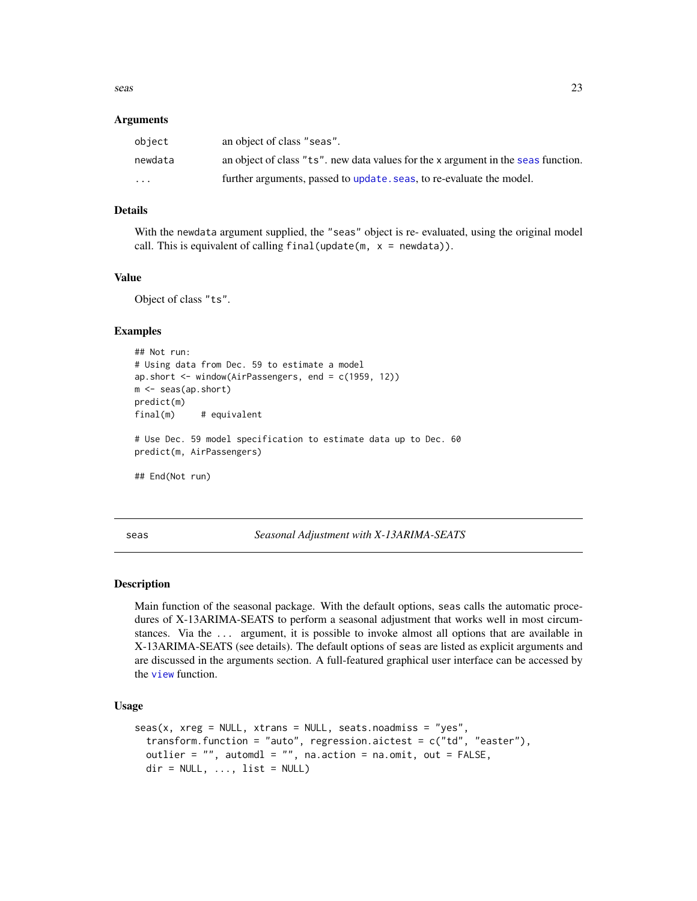<span id="page-22-0"></span>seas 23

#### Arguments

| object                  | an object of class "seas".                                                        |
|-------------------------|-----------------------------------------------------------------------------------|
| newdata                 | an object of class "ts", new data values for the x argument in the seas function. |
| $\cdot$ $\cdot$ $\cdot$ | further arguments, passed to update. seas, to re-evaluate the model.              |

#### Details

With the newdata argument supplied, the "seas" object is re- evaluated, using the original model call. This is equivalent of calling final (update  $(m, x = newdata)$ ).

# Value

Object of class "ts".

#### Examples

```
## Not run:
# Using data from Dec. 59 to estimate a model
ap.short <- window(AirPassengers, end = c(1959, 12))
m <- seas(ap.short)
predict(m)
final(m) # equivalent
# Use Dec. 59 model specification to estimate data up to Dec. 60
predict(m, AirPassengers)
## End(Not run)
```
<span id="page-22-1"></span>seas *Seasonal Adjustment with X-13ARIMA-SEATS*

#### Description

Main function of the seasonal package. With the default options, seas calls the automatic procedures of X-13ARIMA-SEATS to perform a seasonal adjustment that works well in most circumstances. Via the ... argument, it is possible to invoke almost all options that are available in X-13ARIMA-SEATS (see details). The default options of seas are listed as explicit arguments and are discussed in the arguments section. A full-featured graphical user interface can be accessed by the [view](#page-41-1) function.

#### Usage

```
seas(x, xreg = NULL, xtrans = NULL, seats.noadmiss = "yes",transform.function = "auto", regression.aictest = c("td", "easter"),outlier = "", automdl = "", na.action = na.omit, out = FALSE,
  dir = NULL, ..., list = NULL)
```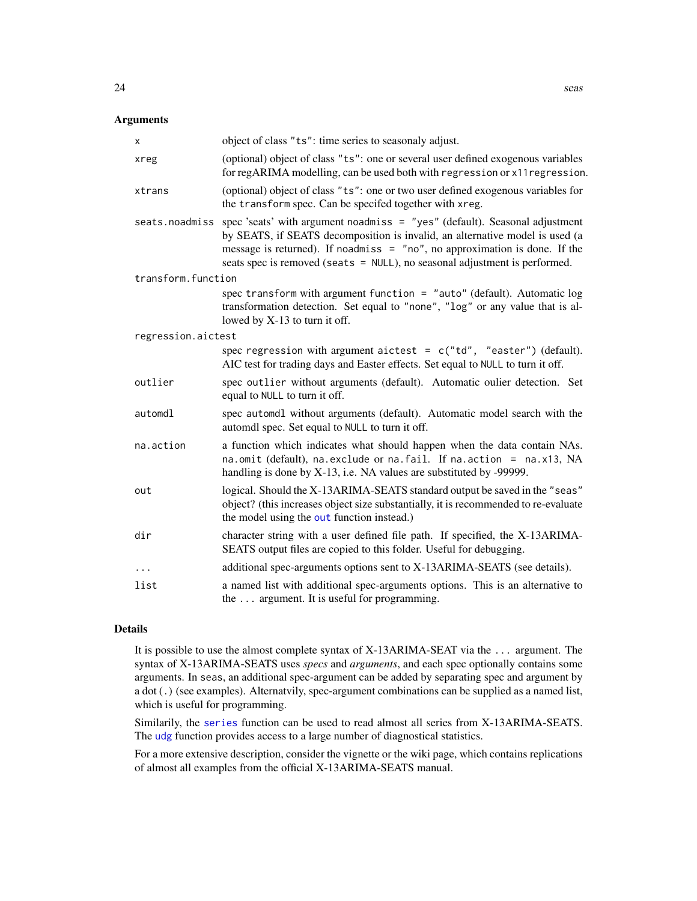# <span id="page-23-0"></span>Arguments

| х                  | object of class "ts": time series to seasonaly adjust.                                                                                                                                                                                                                                                                                   |
|--------------------|------------------------------------------------------------------------------------------------------------------------------------------------------------------------------------------------------------------------------------------------------------------------------------------------------------------------------------------|
| xreg               | (optional) object of class "ts": one or several user defined exogenous variables<br>for regARIMA modelling, can be used both with regression or x11 regression.                                                                                                                                                                          |
| xtrans             | (optional) object of class "ts": one or two user defined exogenous variables for<br>the transform spec. Can be specifed together with xreg.                                                                                                                                                                                              |
|                    | seats.noadmiss spec 'seats' with argument noadmiss = "yes" (default). Seasonal adjustment<br>by SEATS, if SEATS decomposition is invalid, an alternative model is used (a<br>message is returned). If no admiss $=$ "no", no approximation is done. If the<br>seats spec is removed (seats = NULL), no seasonal adjustment is performed. |
| transform.function |                                                                                                                                                                                                                                                                                                                                          |
|                    | spec transform with argument function = "auto" (default). Automatic $log$<br>transformation detection. Set equal to "none", "log" or any value that is al-<br>lowed by X-13 to turn it off.                                                                                                                                              |
| regression.aictest |                                                                                                                                                                                                                                                                                                                                          |
|                    | spec regression with argument aictest = $c("td", "easter")$ (default).<br>AIC test for trading days and Easter effects. Set equal to NULL to turn it off.                                                                                                                                                                                |
| outlier            | spec outlier without arguments (default). Automatic oulier detection. Set<br>equal to NULL to turn it off.                                                                                                                                                                                                                               |
| automdl            | spec automdl without arguments (default). Automatic model search with the<br>automdl spec. Set equal to NULL to turn it off.                                                                                                                                                                                                             |
| na.action          | a function which indicates what should happen when the data contain NAs.<br>na.omit (default), na.exclude or na.fail. If na.action = na.x13, NA<br>handling is done by X-13, i.e. NA values are substituted by -99999.                                                                                                                   |
| out                | logical. Should the X-13ARIMA-SEATS standard output be saved in the "seas"<br>object? (this increases object size substantially, it is recommended to re-evaluate<br>the model using the out function instead.)                                                                                                                          |
| dir                | character string with a user defined file path. If specified, the X-13ARIMA-<br>SEATS output files are copied to this folder. Useful for debugging.                                                                                                                                                                                      |
| $\cdots$           | additional spec-arguments options sent to X-13ARIMA-SEATS (see details).                                                                                                                                                                                                                                                                 |
| list               | a named list with additional spec-arguments options. This is an alternative to<br>the  argument. It is useful for programming.                                                                                                                                                                                                           |

#### Details

It is possible to use the almost complete syntax of X-13ARIMA-SEAT via the ... argument. The syntax of X-13ARIMA-SEATS uses *specs* and *arguments*, and each spec optionally contains some arguments. In seas, an additional spec-argument can be added by separating spec and argument by a dot (.) (see examples). Alternatvily, spec-argument combinations can be supplied as a named list, which is useful for programming.

Similarily, the [series](#page-26-1) function can be used to read almost all series from X-13ARIMA-SEATS. The [udg](#page-38-1) function provides access to a large number of diagnostical statistics.

For a more extensive description, consider the vignette or the wiki page, which contains replications of almost all examples from the official X-13ARIMA-SEATS manual.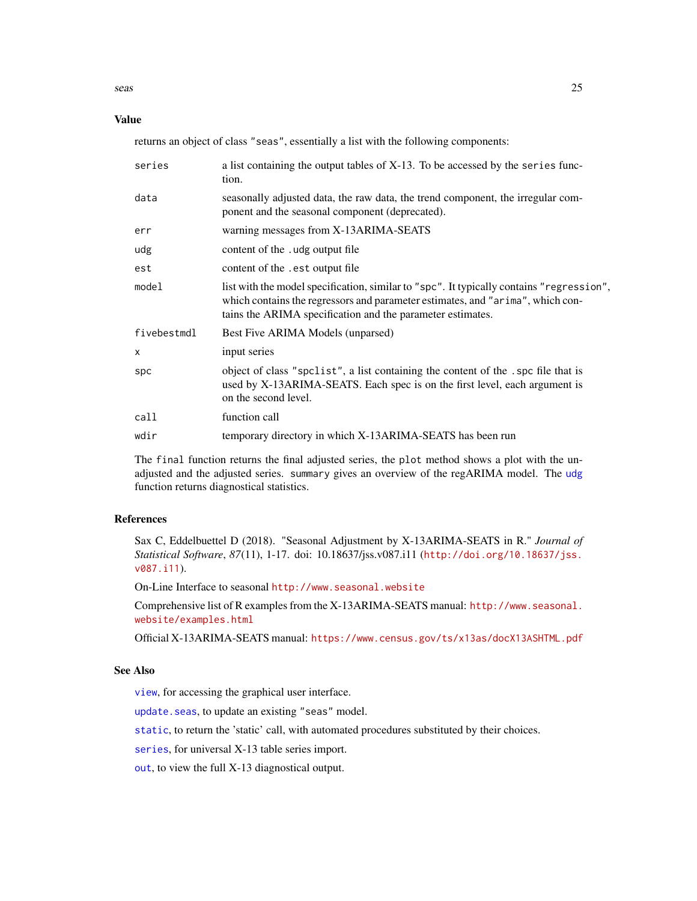<span id="page-24-0"></span>seas 25

#### Value

returns an object of class "seas", essentially a list with the following components:

| series      | a list containing the output tables of X-13. To be accessed by the series func-<br>tion.                                                                                                                                                 |
|-------------|------------------------------------------------------------------------------------------------------------------------------------------------------------------------------------------------------------------------------------------|
| data        | seasonally adjusted data, the raw data, the trend component, the irregular com-<br>ponent and the seasonal component (deprecated).                                                                                                       |
| err         | warning messages from X-13ARIMA-SEATS                                                                                                                                                                                                    |
| udg         | content of the . udg output file                                                                                                                                                                                                         |
| est         | content of the .est output file                                                                                                                                                                                                          |
| model       | list with the model specification, similar to "spc". It typically contains "regression",<br>which contains the regressors and parameter estimates, and "arima", which con-<br>tains the ARIMA specification and the parameter estimates. |
| fivebestmdl | Best Five ARIMA Models (unparsed)                                                                                                                                                                                                        |
| X           | input series                                                                                                                                                                                                                             |
| spc         | object of class "spclist", a list containing the content of the . spc file that is<br>used by X-13ARIMA-SEATS. Each spec is on the first level, each argument is<br>on the second level.                                                 |
| call        | function call                                                                                                                                                                                                                            |
| wdir        | temporary directory in which X-13ARIMA-SEATS has been run                                                                                                                                                                                |
|             |                                                                                                                                                                                                                                          |

The final function returns the final adjusted series, the plot method shows a plot with the unadjusted and the adjusted series. summary gives an overview of the regARIMA model. The [udg](#page-38-1) function returns diagnostical statistics.

#### References

Sax C, Eddelbuettel D (2018). "Seasonal Adjustment by X-13ARIMA-SEATS in R." *Journal of Statistical Software*, *87*(11), 1-17. doi: 10.18637/jss.v087.i11 ([http://doi.org/10.18637/jss.](http://doi.org/10.18637/jss.v087.i11) [v087.i11](http://doi.org/10.18637/jss.v087.i11)).

On-Line Interface to seasonal <http://www.seasonal.website>

Comprehensive list of R examples from the X-13ARIMA-SEATS manual: [http://www.seasonal.](http://www.seasonal.website/examples.html) [website/examples.html](http://www.seasonal.website/examples.html)

Official X-13ARIMA-SEATS manual: <https://www.census.gov/ts/x13as/docX13ASHTML.pdf>

# See Also

[view](#page-41-1), for accessing the graphical user interface.

[update.seas](#page-40-1), to update an existing "seas" model.

[static](#page-34-1), to return the 'static' call, with automated procedures substituted by their choices.

[series](#page-26-1), for universal X-13 table series import.

[out](#page-18-1), to view the full X-13 diagnostical output.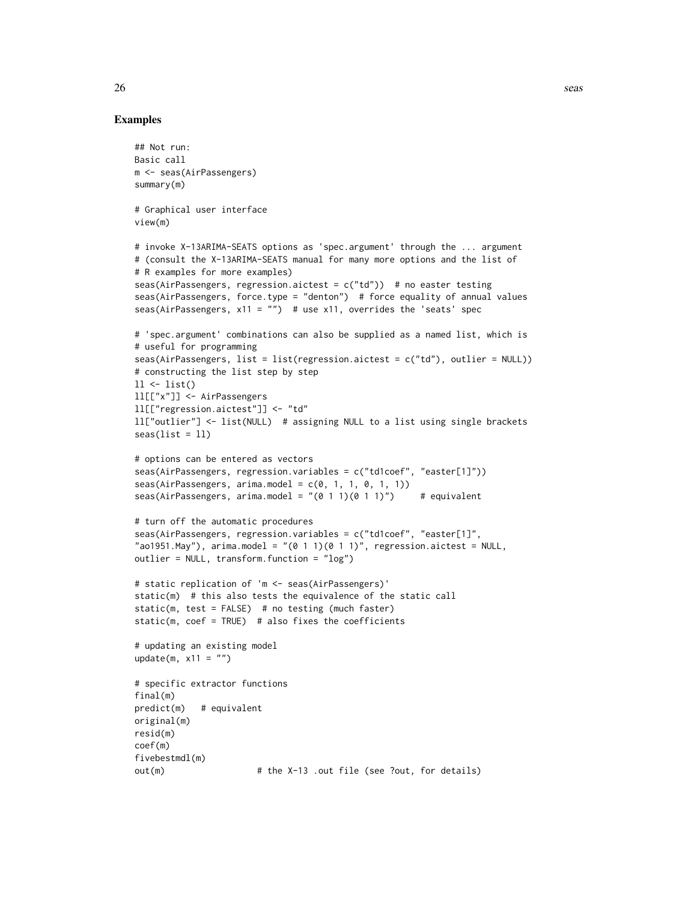### Examples

```
## Not run:
Basic call
m <- seas(AirPassengers)
summary(m)
# Graphical user interface
view(m)
# invoke X-13ARIMA-SEATS options as 'spec.argument' through the ... argument
# (consult the X-13ARIMA-SEATS manual for many more options and the list of
# R examples for more examples)
seas(AirPassengers, regression.aictest = c("td")) # no easter testing
seas(AirPassengers, force.type = "denton") # force equality of annual values
seas(AirPassengers, x11 = "") # use x11, overrides the 'seats' spec
# 'spec.argument' combinations can also be supplied as a named list, which is
# useful for programming
seas(AirPassengers, list = list(regression.aictest = c("td"), outlier = NULL))
# constructing the list step by step
11 \leftarrow list()ll[["x"]] <- AirPassengers
ll[["regression.aictest"]] <- "td"
ll["outlier"] <- list(NULL) # assigning NULL to a list using single brackets
seas(list = 11)# options can be entered as vectors
seas(AirPassengers, regression.variables = c("td1coef", "easter[1]"))
seas(AirPassengers, arima.model = c(0, 1, 1, 0, 1, 1))seas(AirPassengers, arima.model = "(0 1 1)(0 1 1)") # equivalent
# turn off the automatic procedures
seas(AirPassengers, regression.variables = c("td1coef", "easter[1]",
"ao1951.May"), arima.model = "(0 1 1)(0 1 1)", regression.aictest = NULL,
outlier = NULL, transform.function = "log")
# static replication of 'm <- seas(AirPassengers)'
static(m) # this also tests the equivalence of the static call
static(m, test = FALSE) # no testing (much faster)
static(m, coef = TRUE) # also fixes the coefficients
# updating an existing model
update(m, x11 = "")# specific extractor functions
final(m)
predict(m) # equivalent
original(m)
resid(m)
coef(m)
fivebestmdl(m)
out(m) \# the X-13 .out file (see ?out, for details)
```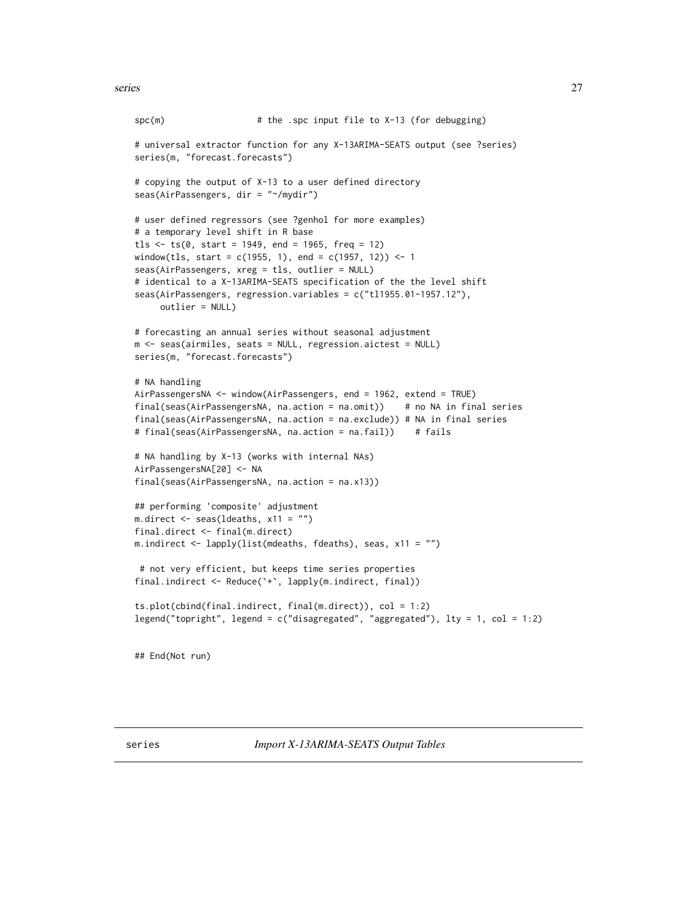```
spc(m) # the .spc input file to X-13 (for debugging)
# universal extractor function for any X-13ARIMA-SEATS output (see ?series)
series(m, "forecast.forecasts")
# copying the output of X-13 to a user defined directory
seas(AirPassengers, dir = "~/mydir")
# user defined regressors (see ?genhol for more examples)
# a temporary level shift in R base
tls \le ts(0, start = 1949, end = 1965, freq = 12)
window(tls, start = c(1955, 1), end = c(1957, 12)) <- 1
seas(AirPassengers, xreg = tls, outlier = NULL)
# identical to a X-13ARIMA-SEATS specification of the the level shift
seas(AirPassengers, regression.variables = c("tl1955.01-1957.12"),
     outlier = NULL)
# forecasting an annual series without seasonal adjustment
m <- seas(airmiles, seats = NULL, regression.aictest = NULL)
series(m, "forecast.forecasts")
# NA handling
AirPassengersNA <- window(AirPassengers, end = 1962, extend = TRUE)
final(seas(AirPassengersNA, na.action = na.omit)) # no NA in final series
final(seas(AirPassengersNA, na.action = na.exclude)) # NA in final series
# final(seas(AirPassengersNA, na.action = na.fail)) # fails
# NA handling by X-13 (works with internal NAs)
AirPassengersNA[20] <- NA
final(seas(AirPassengersNA, na.action = na.x13))
## performing 'composite' adjustment
m.direct \leq seas(ldeaths, x11 = "")
final.direct <- final(m.direct)
m.indirect <- lapply(list(mdeaths, fdeaths), seas, x11 = "")
# not very efficient, but keeps time series properties
final.indirect <- Reduce(`+`, lapply(m.indirect, final))
ts.plot(cbind(final.indirect, final(m.direct)), col = 1:2)
legend("topright", legend = c("disagregated", "aggregated"), lty = 1, col = 1:2)
## End(Not run)
```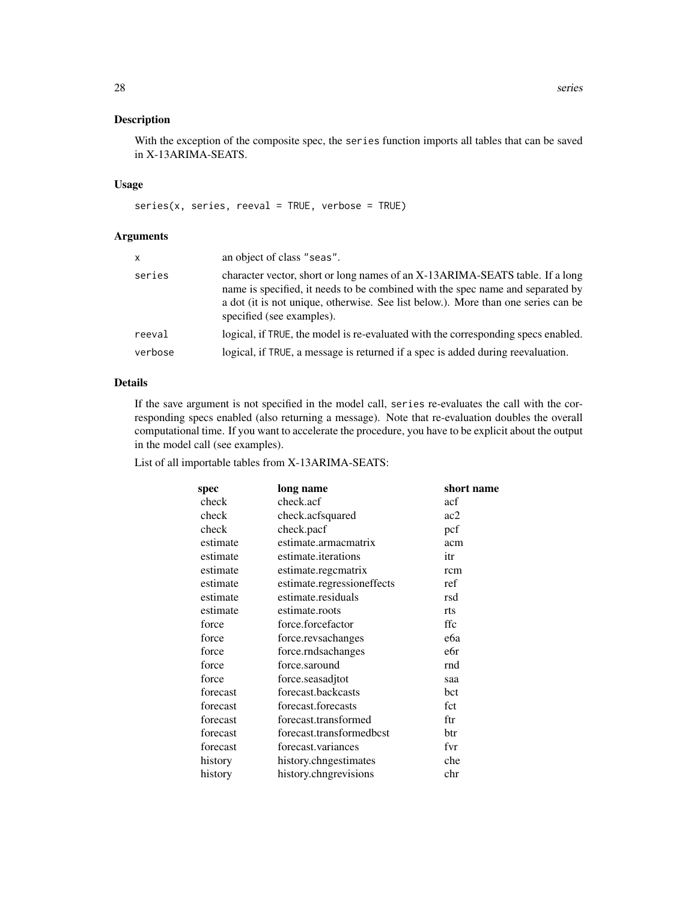With the exception of the composite spec, the series function imports all tables that can be saved in X-13ARIMA-SEATS.

# Usage

 $series(x, series, reveal = TRUE, verbose = TRUE)$ 

#### Arguments

| x       | an object of class "seas".                                                                                                                                                                                                                                                       |
|---------|----------------------------------------------------------------------------------------------------------------------------------------------------------------------------------------------------------------------------------------------------------------------------------|
| series  | character vector, short or long names of an X-13ARIMA-SEATS table. If a long<br>name is specified, it needs to be combined with the spec name and separated by<br>a dot (it is not unique, otherwise. See list below.). More than one series can be<br>specified (see examples). |
| reeval  | logical, if TRUE, the model is re-evaluated with the corresponding specs enabled.                                                                                                                                                                                                |
| verbose | logical, if TRUE, a message is returned if a spec is added during reevaluation.                                                                                                                                                                                                  |

# Details

If the save argument is not specified in the model call, series re-evaluates the call with the corresponding specs enabled (also returning a message). Note that re-evaluation doubles the overall computational time. If you want to accelerate the procedure, you have to be explicit about the output in the model call (see examples).

List of all importable tables from X-13ARIMA-SEATS:

| spec     | long name                  | short name |
|----------|----------------------------|------------|
| check    | check.acf                  | acf        |
| check    | check.acfsquared           | ac2        |
| check    | check.pacf                 | pcf        |
| estimate | estimate.armacmatrix       | acm        |
| estimate | estimate.iterations        | itr        |
| estimate | estimate.regcmatrix        | rcm        |
| estimate | estimate.regressioneffects | ref        |
| estimate | estimate.residuals         | rsd        |
| estimate | estimate.roots             | rts        |
| force    | force.forcefactor          | ffc        |
| force    | force.revsachanges         | eбa        |
| force    | force.rndsachanges         | e6r        |
| force    | force.saround              | rnd        |
| force    | force.seasadjtot           | saa        |
| forecast | forecast.backcasts         | bct        |
| forecast | forecast.forecasts         | fct        |
| forecast | forecast.transformed       | ftr        |
| forecast | forecast.transformedbcst   | btr        |
| forecast | forecast.variances         | fvr        |
| history  | history.chngestimates      | che        |
| history  | history.chngrevisions      | chr        |
|          |                            |            |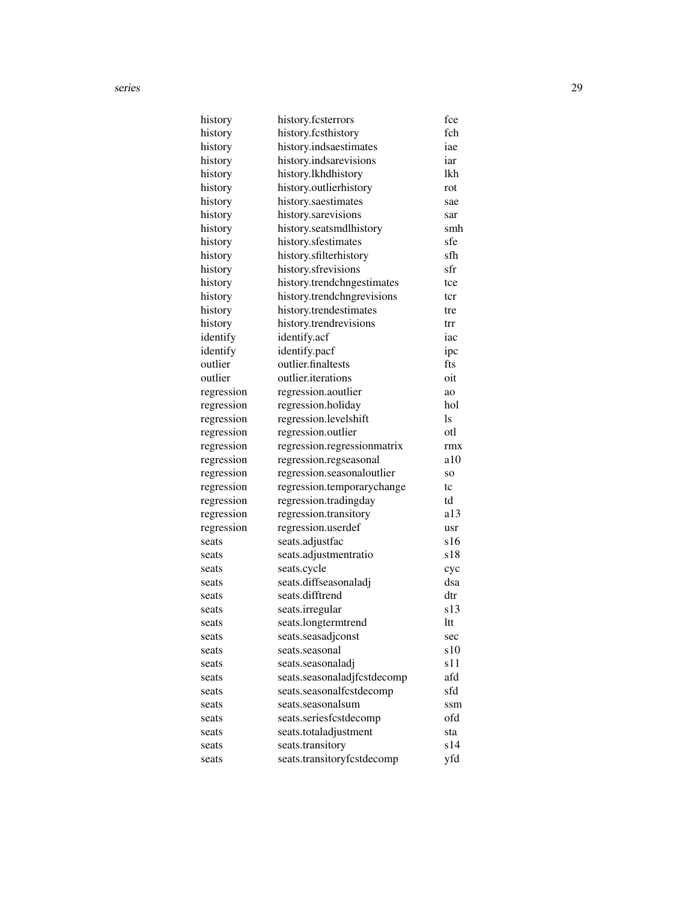| history    | history.fcsterrors          | fce     |
|------------|-----------------------------|---------|
| history    | history.fcsthistory         | fch     |
| history    | history.indsaestimates      | iae     |
| history    | history.indsarevisions      | iar     |
| history    | history.lkhdhistory         | lkh     |
| history    | history.outlierhistory      | rot     |
| history    | history.saestimates         | sae     |
| history    | history.sarevisions         | sar     |
| history    | history.seatsmdlhistory     | smh     |
| history    | history.sfestimates         | sfe     |
| history    | history.sfilterhistory      | sfh     |
| history    | history.sfrevisions         | sfr     |
| history    | history.trendchngestimates  | tce     |
| history    | history.trendchngrevisions  | tcr     |
| history    | history.trendestimates      | tre     |
| history    | history.trendrevisions      | trr     |
| identify   | identify.acf                | iac     |
| identify   | identify.pacf               | ipc     |
| outlier    | outlier.finaltests          | fts     |
| outlier    | outlier.iterations          | oit     |
| regression | regression.aoutlier         | ao      |
| regression | regression.holiday          | hol     |
| regression | regression.levelshift       | ls      |
| regression | regression.outlier          | otl     |
| regression | regression.regressionmatrix | rmx     |
| regression | regression.regseasonal      | a10     |
| regression | regression.seasonaloutlier  | SO.     |
| regression | regression.temporarychange  | tc      |
| regression | regression.tradingday       | td      |
| regression | regression.transitory       | a13     |
| regression | regression.userdef          | usr     |
| seats      | seats.adjustfac             | s16     |
| seats      | seats.adjustmentratio       | s18     |
| seats      | seats.cycle                 | cyc     |
| seats      | seats.diffseasonaladj       | dsa     |
| seats      | seats.difftrend             | $dt$    |
| seats      | seats.irregular             | s13     |
| seats      | seats.longtermtrend         | $Itt -$ |
| seats      | seats.seasadjconst          | sec     |
| seats      | seats.seasonal              | s10     |
| seats      | seats.seasonaladj           | s11     |
| seats      | seats.seasonaladjfcstdecomp | afd     |
| seats      | seats.seasonalfcstdecomp    | sfd     |
| seats      | seats.seasonalsum           | ssm     |
| seats      | seats.seriesfcstdecomp      | ofd     |
| seats      | seats.totaladjustment       | sta     |
| seats      | seats.transitory            | s14     |
| seats      | seats.transitoryfcstdecomp  | yfd     |
|            |                             |         |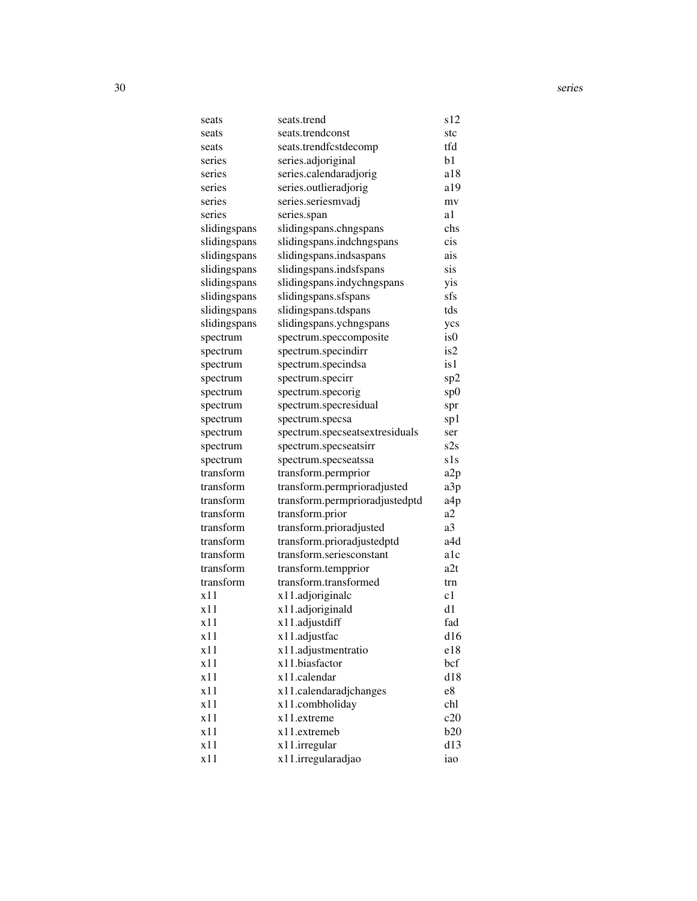| seats        | seats.trend                    | s12             |
|--------------|--------------------------------|-----------------|
| seats        | seats.trendconst               | stc             |
| seats        | seats.trendfcstdecomp          | tfd             |
| series       | series.adjoriginal             | b1              |
| series       | series.calendaradjorig         | a18             |
| series       | series.outlieradjorig          | a19             |
| series       | series.seriesmvadj             | mv              |
| series       | series.span                    | a1              |
| slidingspans | slidingspans.chngspans         | chs             |
| slidingspans | slidingspans.indchngspans      | cis             |
| slidingspans | slidingspans.indsaspans        | ais             |
| slidingspans | slidingspans.indsfspans        | sis             |
| slidingspans | slidingspans.indychngspans     | yis             |
| slidingspans | slidingspans.sfspans           | sfs             |
| slidingspans | slidingspans.tdspans           | tds             |
| slidingspans | slidingspans.ychngspans        | ycs             |
| spectrum     | spectrum.speccomposite         | is <sub>0</sub> |
| spectrum     | spectrum.specindirr            | is2             |
| spectrum     | spectrum.specindsa             | is 1            |
| spectrum     | spectrum.specirr               | sp2             |
| spectrum     | spectrum.specorig              | sp0             |
| spectrum     | spectrum.specresidual          | spr             |
| spectrum     | spectrum.specsa                | sp1             |
| spectrum     | spectrum.specseatsextresiduals | ser             |
| spectrum     | spectrum.specseatsirr          | s2s             |
| spectrum     | spectrum.specseatssa           | s1s             |
| transform    | transform.permprior            | a <sub>2p</sub> |
| transform    | transform.permprioradjusted    | a3p             |
| transform    | transform.permprioradjustedptd | a4p             |
| transform    | transform.prior                | a2              |
| transform    | transform.prioradjusted        | a3              |
| transform    | transform.prioradjustedptd     | a4d             |
| transform    | transform.seriesconstant       | a1c             |
| transform    | transform.tempprior            | a2t             |
| transform    | transform.transformed          | trn             |
| x11          | x11.adjoriginalc               | c1              |
| x11          | x11.adjoriginald               | d1              |
| x11          | x11.adjustdiff                 | fad             |
| x11          | x11.adjustfac                  | d16             |
| x11          | x11.adjustmentratio            | e18             |
| x11          | x11.biasfactor                 | bcf             |
| x11          | x11.calendar                   | d18             |
| x11          | x11.calendaradjchanges         | e8              |
| x11          | x11.combholiday                | chl             |
| x11          | x11.extreme                    | c20             |
| x11          | x11.extremeb                   | b20             |
| x11          | x11.irregular                  | d13             |
| x11          | x11.irregularadjao             | iao             |
|              |                                |                 |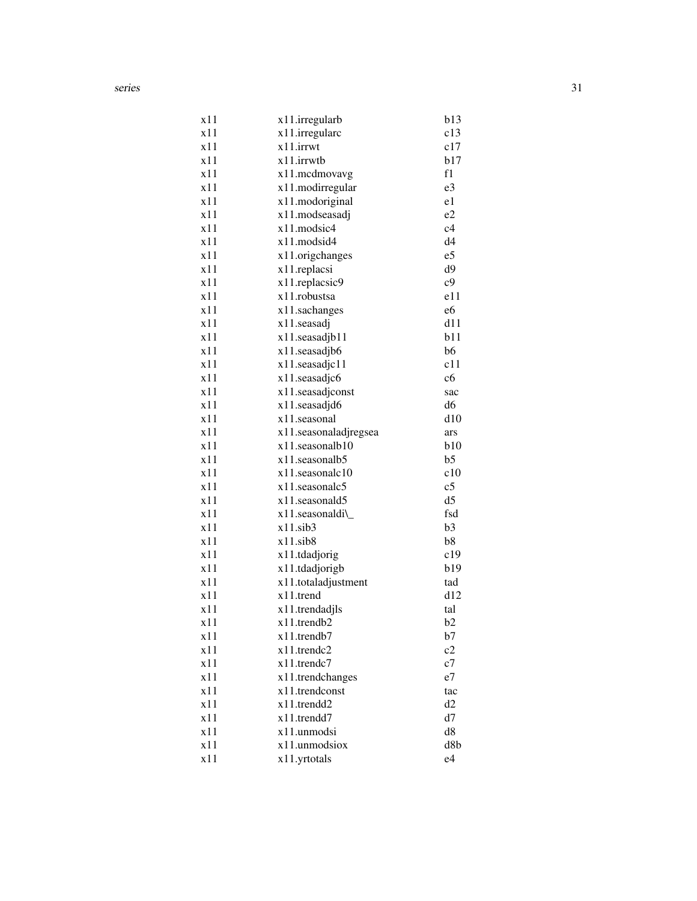| x11 | x11.irregularb        | b13            |
|-----|-----------------------|----------------|
| x11 | x11.irregularc        | c13            |
| x11 | x11.irrwt             | c17            |
| x11 | x11.irrwtb            | b17            |
| x11 | x11.mcdmovavg         | f1             |
| x11 | x11.modirregular      | e3             |
| x11 | x11.modoriginal       | e1             |
| x11 | x11.modseasadj        | e2             |
| x11 | x11.modsic4           | c4             |
| x11 | x11.modsid4           | d4             |
| x11 | x11.origchanges       | e5             |
| x11 | x11.replacsi          | d9             |
| x11 | x11.replacsic9        | c9             |
| x11 | x11.robustsa          | e11            |
| x11 | x11.sachanges         | e6             |
| x11 | x11.seasadj           | d11            |
| x11 | x11.seasadjb11        | b11            |
| x11 | x11.seasadjb6         | b6             |
| x11 | x11.seasadjc11        | c11            |
| x11 | x11.seasadjc6         | c6             |
| x11 | x11.seasadjconst      | sac            |
| x11 | x11.seasadjd6         | d6             |
| x11 | x11.seasonal          | d10            |
| x11 | x11.seasonaladjregsea | ars            |
| x11 | x11.seasonalb10       | b10            |
| x11 | x11.seasonalb5        | b <sub>5</sub> |
| x11 | x11.seasonalc10       | c10            |
| x11 | $x11$ .seasonalc5     | c <sub>5</sub> |
| x11 | x11.seasonald5        | d <sub>5</sub> |
| x11 | x11.seasonaldi\       | fsd            |
| x11 | $x11$ .sib3           | b3             |
| x11 | $x11$ .sib $8$        | b8             |
| x11 | x11.tdadjorig         | c19            |
| x11 | x11.tdadjorigb        | b19            |
| x11 | x11.totaladjustment   | tad            |
| x11 | x11.trend             | d12            |
| x11 | x11.trendadjls        | tal            |
| x11 | x11.trendb2           | b2             |
| x11 | x11.trendb7           | b7             |
| x11 | x11.trendc2           | c2             |
| x11 | x11.trendc7           | c7             |
| x11 | x11.trendchanges      | e7             |
| x11 | x11.trendconst        | tac            |
| x11 | x11.trendd2           | d <sub>2</sub> |
| x11 | x11.trendd7           | d7             |
| x11 | x11.unmodsi           | d8             |
| x11 | x11.unmodsiox         | d8b            |
| x11 | x11.yrtotals          | e4             |
|     |                       |                |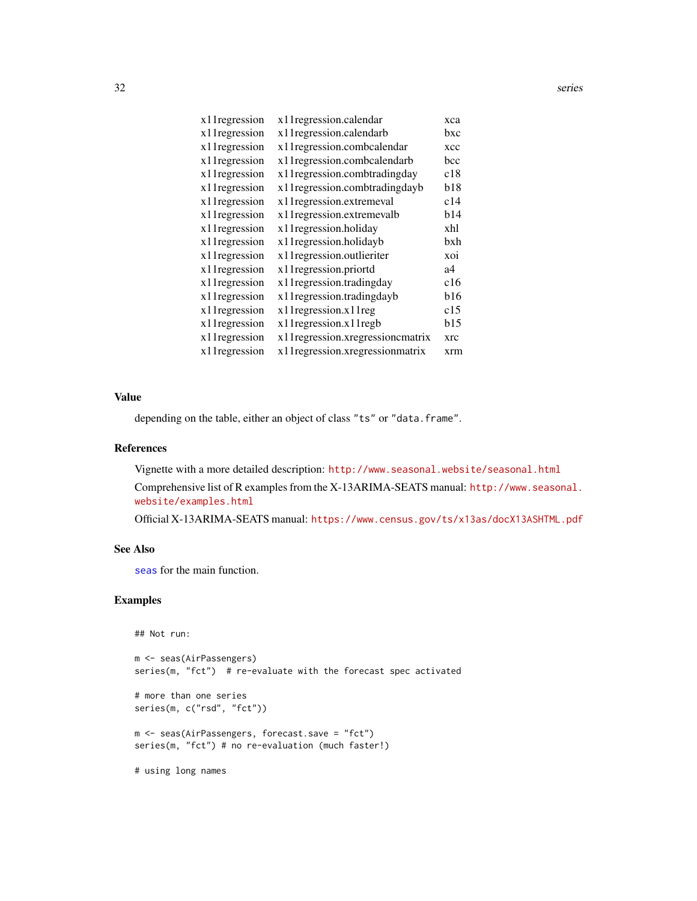<span id="page-31-0"></span>

| xca |
|-----|
| bxc |
| xcc |
| bcc |
| c18 |
| b18 |
| c14 |
| b14 |
| xhl |
| bxh |
| xoi |
| a4  |
| c16 |
| b16 |
| c15 |
| b15 |
| xrc |
| xrm |
|     |

# Value

depending on the table, either an object of class "ts" or "data.frame".

#### References

Vignette with a more detailed description: <http://www.seasonal.website/seasonal.html>

Comprehensive list of R examples from the X-13ARIMA-SEATS manual: [http://www.seasonal.](http://www.seasonal.website/examples.html) [website/examples.html](http://www.seasonal.website/examples.html)

Official X-13ARIMA-SEATS manual: <https://www.census.gov/ts/x13as/docX13ASHTML.pdf>

#### See Also

[seas](#page-22-1) for the main function.

# Examples

## Not run:

```
m <- seas(AirPassengers)
series(m, "fct") # re-evaluate with the forecast spec activated
# more than one series
series(m, c("rsd", "fct"))
m <- seas(AirPassengers, forecast.save = "fct")
series(m, "fct") # no re-evaluation (much faster!)
```
# using long names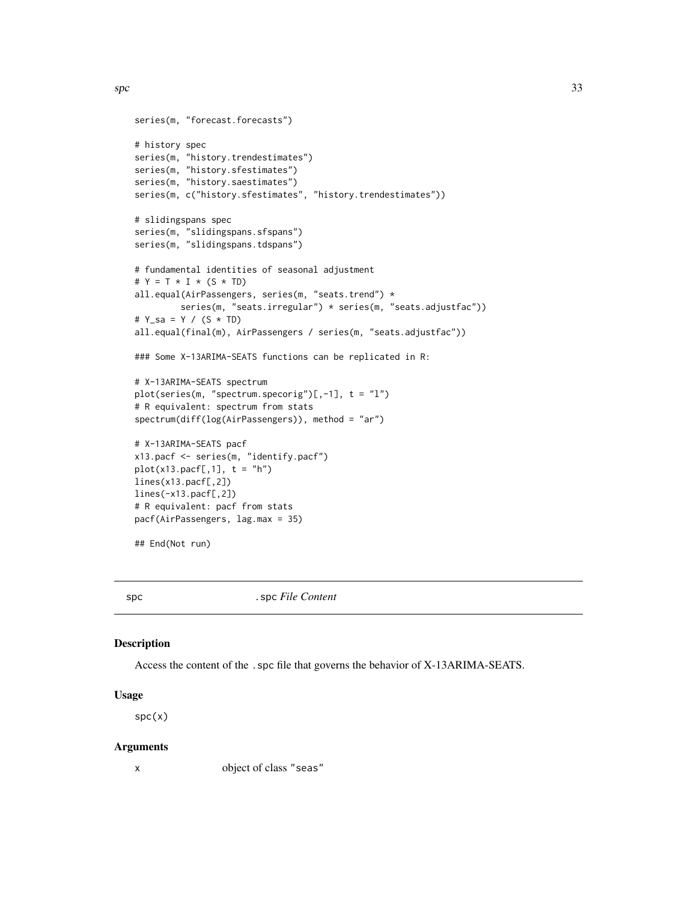```
series(m, "forecast.forecasts")
# history spec
series(m, "history.trendestimates")
series(m, "history.sfestimates")
series(m, "history.saestimates")
series(m, c("history.sfestimates", "history.trendestimates"))
# slidingspans spec
series(m, "slidingspans.sfspans")
series(m, "slidingspans.tdspans")
# fundamental identities of seasonal adjustment
# Y = T \times I \times (S \times TD)all.equal(AirPassengers, series(m, "seats.trend") *
         series(m, "seats.irregular") * series(m, "seats.adjustfac"))
# Y_sa = Y / (S * TD)
all.equal(final(m), AirPassengers / series(m, "seats.adjustfac"))
### Some X-13ARIMA-SEATS functions can be replicated in R:
# X-13ARIMA-SEATS spectrum
plot(series(m, "spectrum.specorig")[-, -1], t = "1")# R equivalent: spectrum from stats
spectrum(diff(log(AirPassengers)), method = "ar")
# X-13ARIMA-SEATS pacf
x13.pacf <- series(m, "identify.pacf")
plot(x13.packf[,1], t = "h")lines(x13.pacf[,2])
lines(-x13.pacf[,2])
# R equivalent: pacf from stats
pacf(AirPassengers, lag.max = 35)
## End(Not run)
```
spc . spc *File Content* 

#### Description

Access the content of the .spc file that governs the behavior of X-13ARIMA-SEATS.

# Usage

 $spc(x)$ 

#### Arguments

x object of class "seas"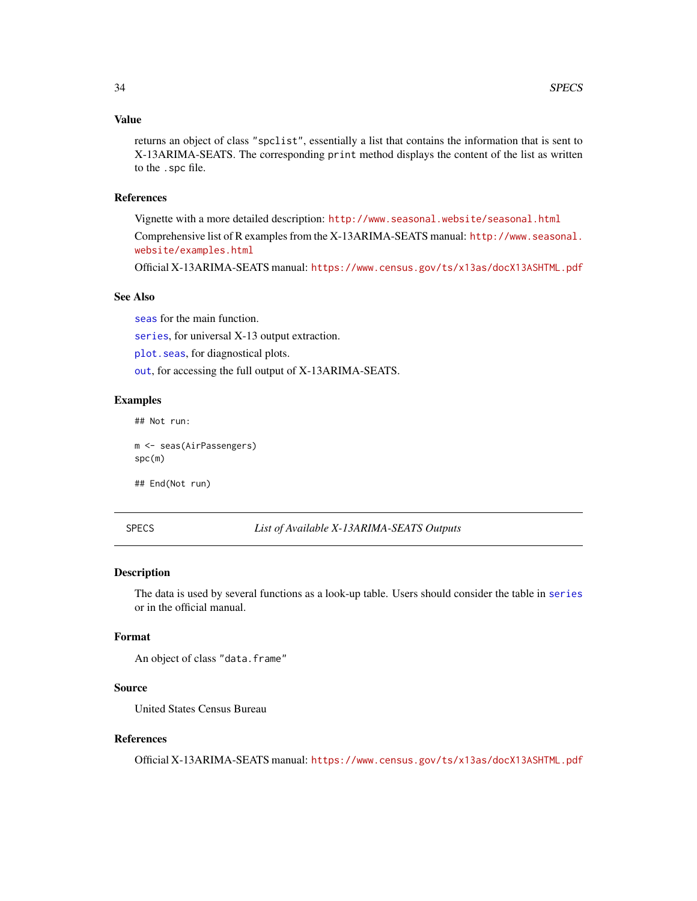# <span id="page-33-0"></span>Value

returns an object of class "spclist", essentially a list that contains the information that is sent to X-13ARIMA-SEATS. The corresponding print method displays the content of the list as written to the .spc file.

#### References

Vignette with a more detailed description: <http://www.seasonal.website/seasonal.html> Comprehensive list of R examples from the X-13ARIMA-SEATS manual: [http://www.seasonal.](http://www.seasonal.website/examples.html) [website/examples.html](http://www.seasonal.website/examples.html)

Official X-13ARIMA-SEATS manual: <https://www.census.gov/ts/x13as/docX13ASHTML.pdf>

# See Also

[seas](#page-22-1) for the main function.

[series](#page-26-1), for universal X-13 output extraction.

[plot.seas](#page-20-1), for diagnostical plots.

[out](#page-18-1), for accessing the full output of X-13ARIMA-SEATS.

# Examples

## Not run:

m <- seas(AirPassengers) spc(m)

## End(Not run)

SPECS *List of Available X-13ARIMA-SEATS Outputs*

#### Description

The data is used by several functions as a look-up table. Users should consider the table in [series](#page-26-1) or in the official manual.

# Format

An object of class "data.frame"

#### Source

United States Census Bureau

#### References

Official X-13ARIMA-SEATS manual: <https://www.census.gov/ts/x13as/docX13ASHTML.pdf>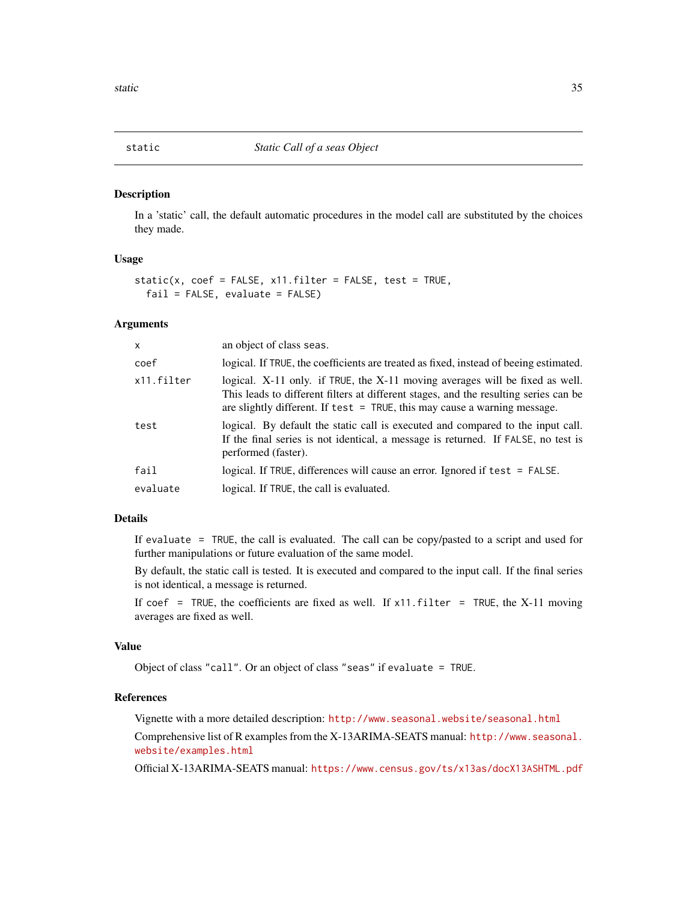<span id="page-34-1"></span><span id="page-34-0"></span>

In a 'static' call, the default automatic procedures in the model call are substituted by the choices they made.

#### Usage

```
static(x, coef = FALSE, x11.filter = FALSE, test = TRUE,
  fail = FALSE, evaluate = FALSE)
```
#### Arguments

| X          | an object of class seas.                                                                                                                                                                                                                            |
|------------|-----------------------------------------------------------------------------------------------------------------------------------------------------------------------------------------------------------------------------------------------------|
| coef       | logical. If TRUE, the coefficients are treated as fixed, instead of beeing estimated.                                                                                                                                                               |
| x11.filter | logical. X-11 only. if TRUE, the X-11 moving averages will be fixed as well.<br>This leads to different filters at different stages, and the resulting series can be<br>are slightly different. If test $=$ TRUE, this may cause a warning message. |
| test       | logical. By default the static call is executed and compared to the input call.<br>If the final series is not identical, a message is returned. If FALSE, no test is<br>performed (faster).                                                         |
| fail       | logical. If TRUE, differences will cause an error. Ignored if test = FALSE.                                                                                                                                                                         |
| evaluate   | logical. If TRUE, the call is evaluated.                                                                                                                                                                                                            |

## Details

If evaluate = TRUE, the call is evaluated. The call can be copy/pasted to a script and used for further manipulations or future evaluation of the same model.

By default, the static call is tested. It is executed and compared to the input call. If the final series is not identical, a message is returned.

If coef = TRUE, the coefficients are fixed as well. If  $x11$ . filter = TRUE, the X-11 moving averages are fixed as well.

# Value

Object of class "call". Or an object of class "seas" if evaluate = TRUE.

# References

Vignette with a more detailed description: <http://www.seasonal.website/seasonal.html>

Comprehensive list of R examples from the X-13ARIMA-SEATS manual: [http://www.seasonal.](http://www.seasonal.website/examples.html) [website/examples.html](http://www.seasonal.website/examples.html)

Official X-13ARIMA-SEATS manual: <https://www.census.gov/ts/x13as/docX13ASHTML.pdf>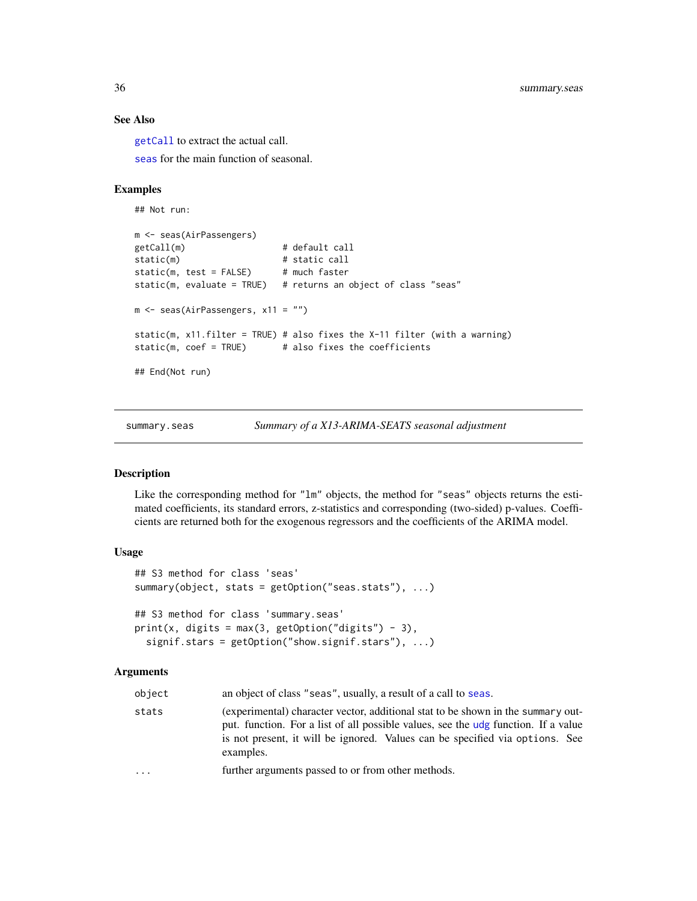# See Also

[getCall](#page-0-0) to extract the actual call.

[seas](#page-22-1) for the main function of seasonal.

# Examples

```
## Not run:
m <- seas(AirPassengers)
getCall(m) # default call
static(m) \qquad # static call
static(m, test = FALSE) # much faster
static(m, evaluate = TRUE) # returns an object of class "seas"
m <- seas(AirPassengers, x11 = "")
static(m, x11.filter = TRUE) # also fixes the X-11 filter (with a warning)
static(m, coef = TRUE) # also fixes the coefficients
## End(Not run)
```
<span id="page-35-1"></span>

summary.seas *Summary of a X13-ARIMA-SEATS seasonal adjustment*

#### Description

Like the corresponding method for "lm" objects, the method for "seas" objects returns the estimated coefficients, its standard errors, z-statistics and corresponding (two-sided) p-values. Coefficients are returned both for the exogenous regressors and the coefficients of the ARIMA model.

#### Usage

```
## S3 method for class 'seas'
summary(object, stats = getOption("seas.stats"), ...)
## S3 method for class 'summary.seas'
print(x, digits = max(3, getOption("digits") - 3),signif.stars = getOption("show.signif.stars"), ...)
```
#### Arguments

| object | an object of class "seas", usually, a result of a call to seas.                                                                                                                                                                                                     |
|--------|---------------------------------------------------------------------------------------------------------------------------------------------------------------------------------------------------------------------------------------------------------------------|
| stats  | (experimental) character vector, additional stat to be shown in the summary out-<br>put. function. For a list of all possible values, see the udg function. If a value<br>is not present, it will be ignored. Values can be specified via options. See<br>examples. |
| .      | further arguments passed to or from other methods.                                                                                                                                                                                                                  |
|        |                                                                                                                                                                                                                                                                     |

<span id="page-35-0"></span>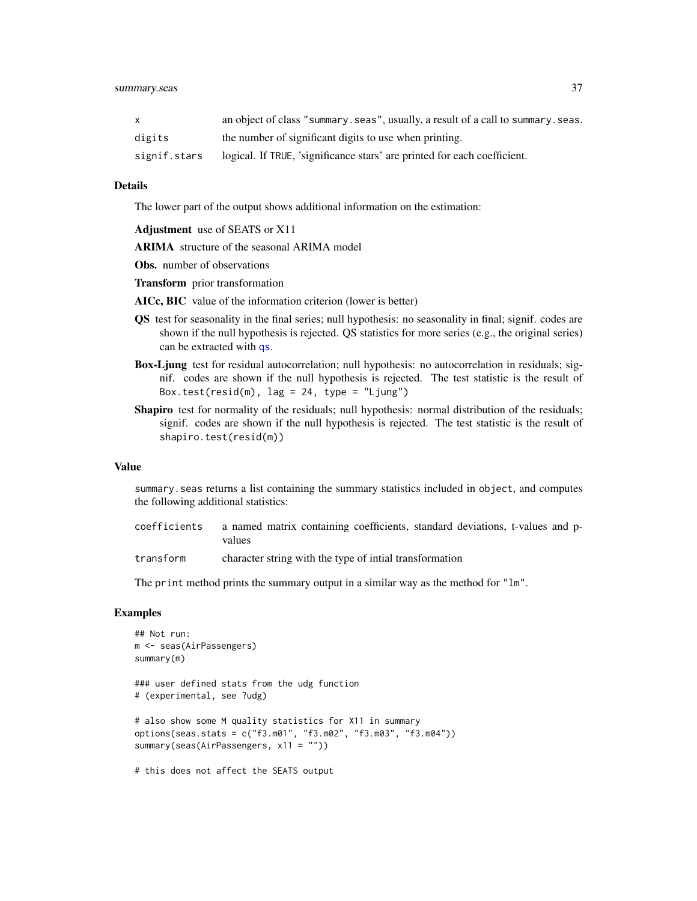<span id="page-36-0"></span>

|              | an object of class "summary.seas", usually, a result of a call to summary.seas. |
|--------------|---------------------------------------------------------------------------------|
| digits       | the number of significant digits to use when printing.                          |
| signif.stars | logical. If TRUE, 'significance stars' are printed for each coefficient.        |

#### Details

The lower part of the output shows additional information on the estimation:

Adjustment use of SEATS or X11

ARIMA structure of the seasonal ARIMA model

Obs. number of observations

Transform prior transformation

AICc, BIC value of the information criterion (lower is better)

- QS test for seasonality in the final series; null hypothesis: no seasonality in final; signif. codes are shown if the null hypothesis is rejected. QS statistics for more series (e.g., the original series) can be extracted with [qs](#page-38-2).
- Box-Ljung test for residual autocorrelation; null hypothesis: no autocorrelation in residuals; signif. codes are shown if the null hypothesis is rejected. The test statistic is the result of Box.test(resid(m),  $lag = 24$ , type = "Ljung")
- Shapiro test for normality of the residuals; null hypothesis: normal distribution of the residuals; signif. codes are shown if the null hypothesis is rejected. The test statistic is the result of shapiro.test(resid(m))

#### Value

summary.seas returns a list containing the summary statistics included in object, and computes the following additional statistics:

- coefficients a named matrix containing coefficients, standard deviations, t-values and pvalues
- transform character string with the type of intial transformation

The print method prints the summary output in a similar way as the method for "lm".

#### **Examples**

```
## Not run:
m <- seas(AirPassengers)
summary(m)
### user defined stats from the udg function
# (experimental, see ?udg)
# also show some M quality statistics for X11 in summary
options(seas.stats = c("f3.m01", "f3.m02", "f3.m03", "f3.m04"))
summary(seas(AirPassengers, x11 = ""))
# this does not affect the SEATS output
```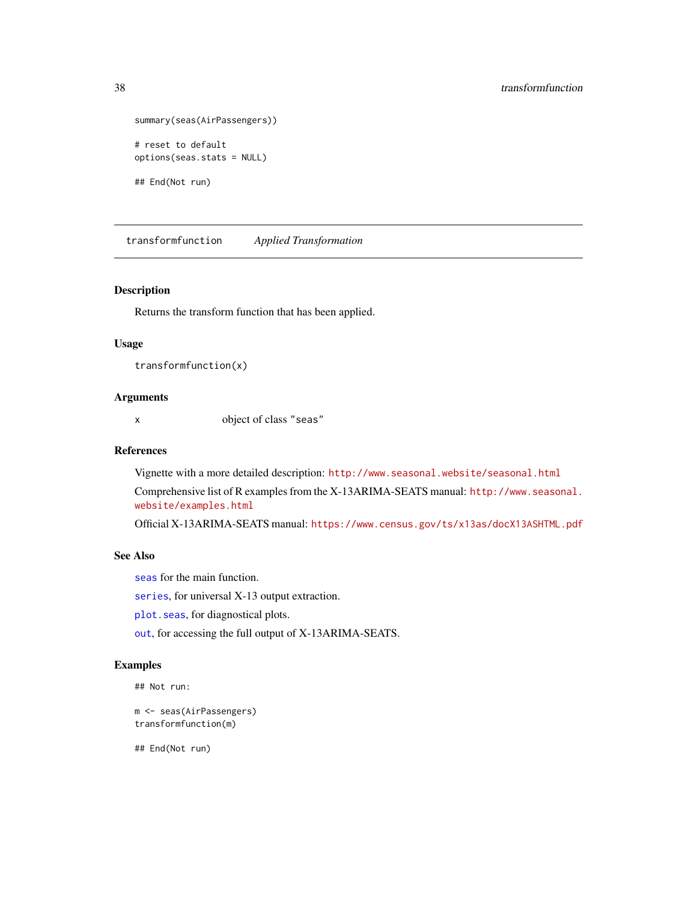```
summary(seas(AirPassengers))
# reset to default
options(seas.stats = NULL)
```
## End(Not run)

transformfunction *Applied Transformation*

#### Description

Returns the transform function that has been applied.

# Usage

```
transformfunction(x)
```
# Arguments

x object of class "seas"

# References

Vignette with a more detailed description: <http://www.seasonal.website/seasonal.html> Comprehensive list of R examples from the X-13ARIMA-SEATS manual: [http://www.seasonal.](http://www.seasonal.website/examples.html) [website/examples.html](http://www.seasonal.website/examples.html)

Official X-13ARIMA-SEATS manual: <https://www.census.gov/ts/x13as/docX13ASHTML.pdf>

# See Also

[seas](#page-22-1) for the main function.

[series](#page-26-1), for universal X-13 output extraction.

[plot.seas](#page-20-1), for diagnostical plots.

[out](#page-18-1), for accessing the full output of X-13ARIMA-SEATS.

# Examples

## Not run:

```
m <- seas(AirPassengers)
transformfunction(m)
```
## End(Not run)

<span id="page-37-0"></span>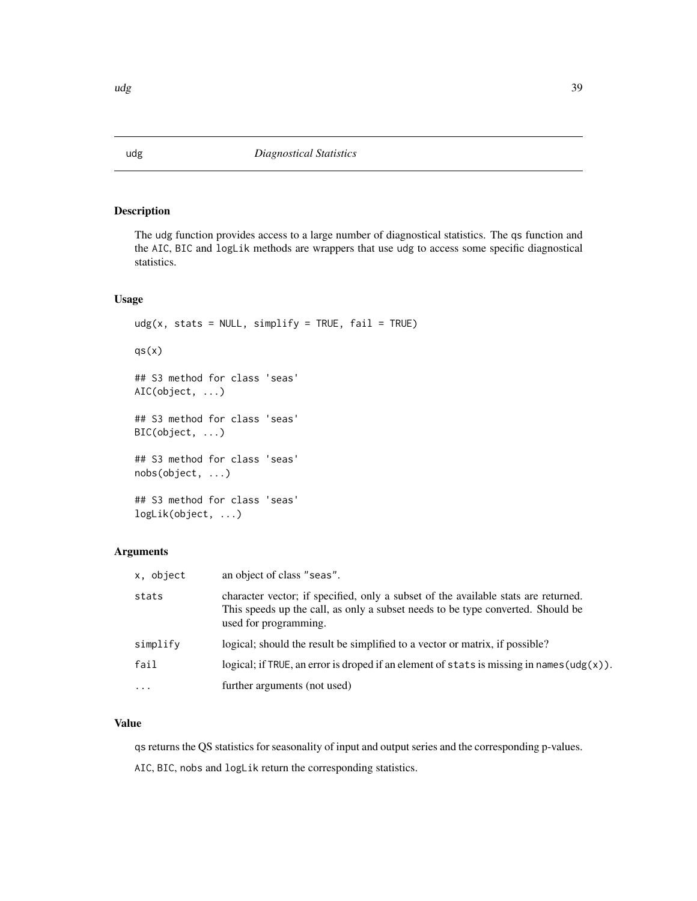<span id="page-38-2"></span>The udg function provides access to a large number of diagnostical statistics. The qs function and the AIC, BIC and logLik methods are wrappers that use udg to access some specific diagnostical statistics.

# Usage

```
udg(x, stats = NULL, simplify = TRUE, fail = TRUE)qs(x)## S3 method for class 'seas'
AIC(object, ...)
## S3 method for class 'seas'
BIC(object, ...)
## S3 method for class 'seas'
nobs(object, ...)
## S3 method for class 'seas'
logLik(object, ...)
```
# Arguments

| x, object | an object of class "seas".                                                                                                                                                                     |
|-----------|------------------------------------------------------------------------------------------------------------------------------------------------------------------------------------------------|
| stats     | character vector; if specified, only a subset of the available stats are returned.<br>This speeds up the call, as only a subset needs to be type converted. Should be<br>used for programming. |
| simplify  | logical; should the result be simplified to a vector or matrix, if possible?                                                                                                                   |
| fail      | logical; if TRUE, an error is droped if an element of stats is missing in names ( $\text{udg}(x)$ ).                                                                                           |
| $\cdots$  | further arguments (not used)                                                                                                                                                                   |

#### Value

qs returns the QS statistics for seasonality of input and output series and the corresponding p-values.

AIC, BIC, nobs and logLik return the corresponding statistics.

<span id="page-38-1"></span><span id="page-38-0"></span>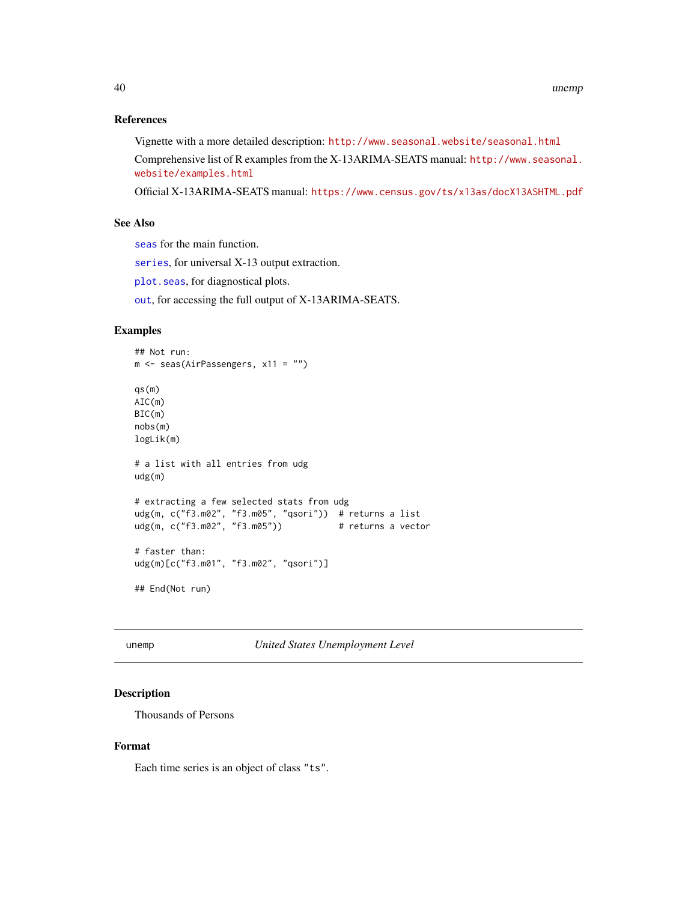# <span id="page-39-0"></span>References

Vignette with a more detailed description: <http://www.seasonal.website/seasonal.html> Comprehensive list of R examples from the X-13ARIMA-SEATS manual: [http://www.seasonal.](http://www.seasonal.website/examples.html) [website/examples.html](http://www.seasonal.website/examples.html)

Official X-13ARIMA-SEATS manual: <https://www.census.gov/ts/x13as/docX13ASHTML.pdf>

# See Also

[seas](#page-22-1) for the main function.

[series](#page-26-1), for universal X-13 output extraction.

[plot.seas](#page-20-1), for diagnostical plots.

[out](#page-18-1), for accessing the full output of X-13ARIMA-SEATS.

# Examples

```
## Not run:
m <- seas(AirPassengers, x11 = "")
qs(m)
AIC(m)
BIC(m)
nobs(m)
logLik(m)
# a list with all entries from udg
udg(m)
# extracting a few selected stats from udg
udg(m, c("f3.m02", "f3.m05", "qsori")) # returns a list
udg(m, c("f3.m02", "f3.m05")) # returns a vector
# faster than:
udg(m)[c("f3.m01", "f3.m02", "qsori")]
## End(Not run)
```
unemp *United States Unemployment Level*

# Description

Thousands of Persons

# Format

Each time series is an object of class "ts".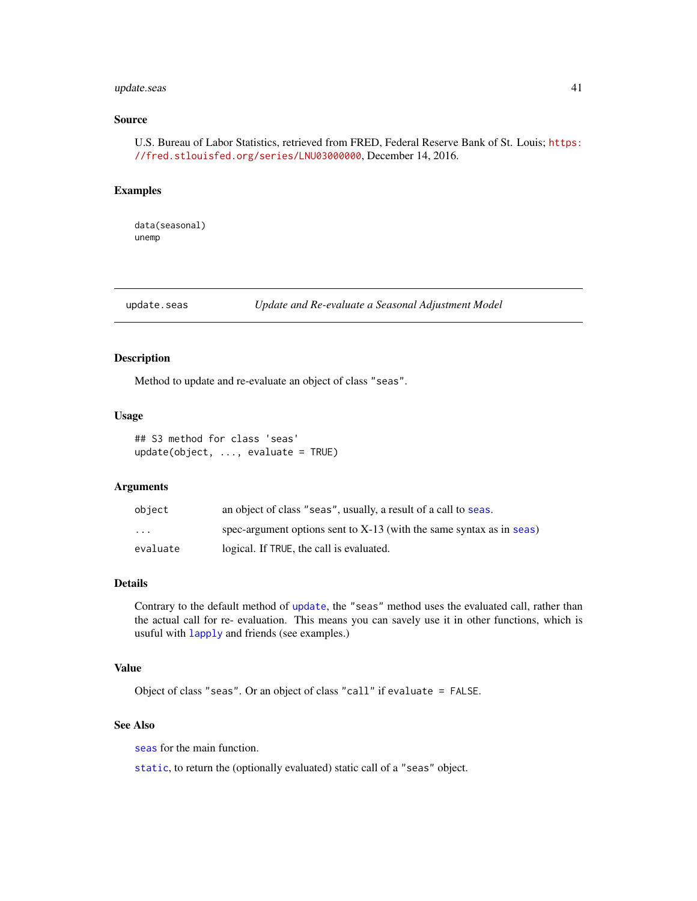# <span id="page-40-0"></span>update.seas 41

# Source

U.S. Bureau of Labor Statistics, retrieved from FRED, Federal Reserve Bank of St. Louis; [https:](https://fred.stlouisfed.org/series/LNU03000000) [//fred.stlouisfed.org/series/LNU03000000](https://fred.stlouisfed.org/series/LNU03000000), December 14, 2016.

#### Examples

data(seasonal) unemp

<span id="page-40-1"></span>update.seas *Update and Re-evaluate a Seasonal Adjustment Model*

# Description

Method to update and re-evaluate an object of class "seas".

#### Usage

```
## S3 method for class 'seas'
update(object, ..., evaluate = TRUE)
```
# Arguments

| object                  | an object of class "seas", usually, a result of a call to seas.        |
|-------------------------|------------------------------------------------------------------------|
| $\cdot$ $\cdot$ $\cdot$ | spec-argument options sent to $X-13$ (with the same syntax as in seas) |
| evaluate                | logical. If TRUE, the call is evaluated.                               |

# Details

Contrary to the default method of [update](#page-0-0), the "seas" method uses the evaluated call, rather than the actual call for re- evaluation. This means you can savely use it in other functions, which is usuful with [lapply](#page-0-0) and friends (see examples.)

# Value

Object of class "seas". Or an object of class "call" if evaluate = FALSE.

# See Also

[seas](#page-22-1) for the main function.

[static](#page-34-1), to return the (optionally evaluated) static call of a "seas" object.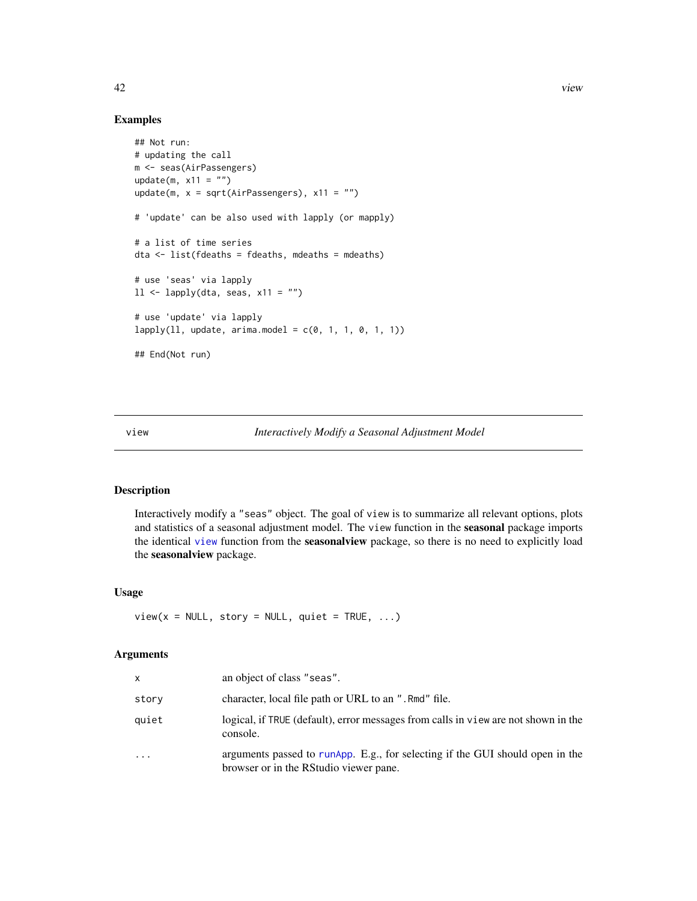#### Examples

```
## Not run:
# updating the call
m <- seas(AirPassengers)
update(m, x11 = "")update(m, x = sqrt(AirPassengers), x11 = "")
# 'update' can be also used with lapply (or mapply)
# a list of time series
dta <- list(fdeaths = fdeaths, mdeaths = mdeaths)
# use 'seas' via lapply
11 \leftarrow \text{lapply}(dta, \text{ seas}, \text{ x11} = \text{""})# use 'update' via lapply
lapply(11, update, arima.model = c(0, 1, 1, 0, 1, 1))## End(Not run)
```
<span id="page-41-1"></span>view *Interactively Modify a Seasonal Adjustment Model*

# Description

Interactively modify a "seas" object. The goal of view is to summarize all relevant options, plots and statistics of a seasonal adjustment model. The view function in the seasonal package imports the identical [view](#page-41-1) function from the seasonalview package, so there is no need to explicitly load the seasonalview package.

#### Usage

 $view(x = NULL, story = NULL, quiet = TRUE, ...)$ 

#### Arguments

| x     | an object of class "seas".                                                                                              |
|-------|-------------------------------------------------------------------------------------------------------------------------|
| story | character, local file path or URL to an ". Rmd" file.                                                                   |
| quiet | logical, if TRUE (default), error messages from calls in view are not shown in the<br>console.                          |
| .     | arguments passed to runApp. E.g., for selecting if the GUI should open in the<br>browser or in the RStudio viewer pane. |

<span id="page-41-0"></span>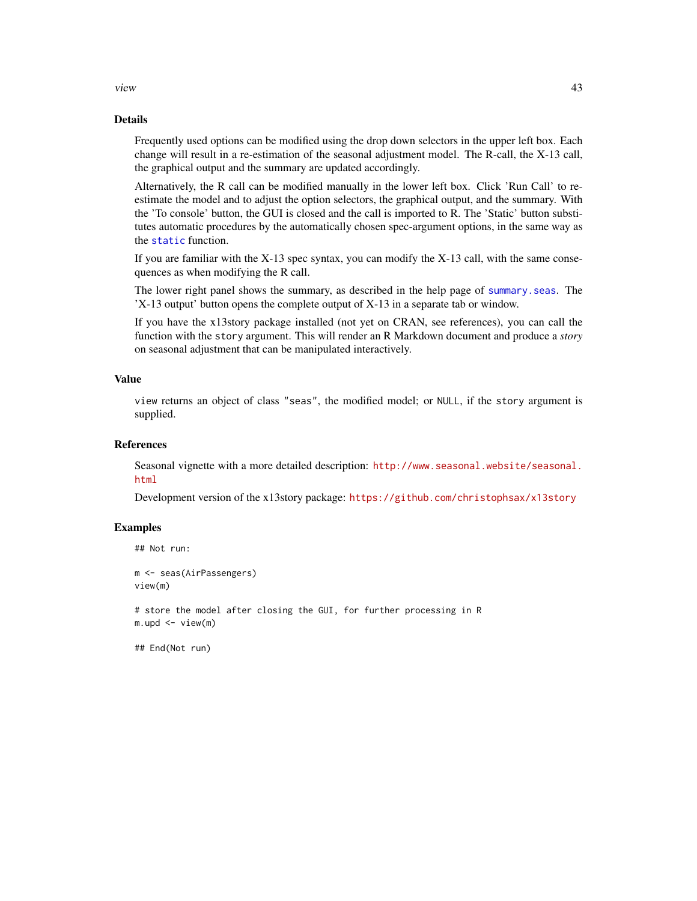<span id="page-42-0"></span>view 43

#### Details

Frequently used options can be modified using the drop down selectors in the upper left box. Each change will result in a re-estimation of the seasonal adjustment model. The R-call, the X-13 call, the graphical output and the summary are updated accordingly.

Alternatively, the R call can be modified manually in the lower left box. Click 'Run Call' to reestimate the model and to adjust the option selectors, the graphical output, and the summary. With the 'To console' button, the GUI is closed and the call is imported to R. The 'Static' button substitutes automatic procedures by the automatically chosen spec-argument options, in the same way as the [static](#page-34-1) function.

If you are familiar with the  $X-13$  spec syntax, you can modify the  $X-13$  call, with the same consequences as when modifying the R call.

The lower right panel shows the summary, as described in the help page of [summary.seas](#page-35-1). The 'X-13 output' button opens the complete output of X-13 in a separate tab or window.

If you have the x13story package installed (not yet on CRAN, see references), you can call the function with the story argument. This will render an R Markdown document and produce a *story* on seasonal adjustment that can be manipulated interactively.

# Value

view returns an object of class "seas", the modified model; or NULL, if the story argument is supplied.

#### References

Seasonal vignette with a more detailed description: [http://www.seasonal.website/seasonal.](http://www.seasonal.website/seasonal.html) [html](http://www.seasonal.website/seasonal.html)

Development version of the x13story package: <https://github.com/christophsax/x13story>

#### Examples

```
## Not run:
m <- seas(AirPassengers)
view(m)
# store the model after closing the GUI, for further processing in R
m.upd \leq view(m)
```
## End(Not run)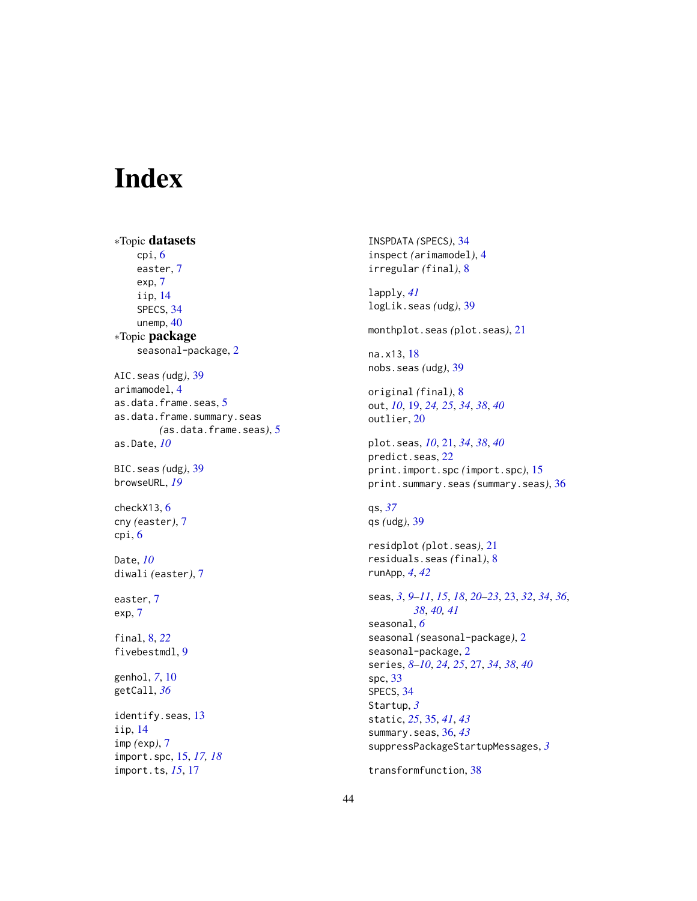# <span id="page-43-0"></span>Index

∗Topic datasets cpi, [6](#page-5-0) easter, [7](#page-6-0) exp, [7](#page-6-0) iip, [14](#page-13-0) SPECS, [34](#page-33-0) unemp, [40](#page-39-0) ∗Topic package seasonal-package, [2](#page-1-0) AIC.seas *(*udg*)*, [39](#page-38-0) arimamodel, [4](#page-3-0) as.data.frame.seas, [5](#page-4-0) as.data.frame.summary.seas *(*as.data.frame.seas*)*, [5](#page-4-0) as.Date, *[10](#page-9-0)* BIC.seas *(*udg*)*, [39](#page-38-0) browseURL, *[19](#page-18-0)* checkX13, [6](#page-5-0) cny *(*easter*)*, [7](#page-6-0) cpi, [6](#page-5-0) Date, *[10](#page-9-0)* diwali *(*easter*)*, [7](#page-6-0) easter, [7](#page-6-0) exp, [7](#page-6-0) final, [8,](#page-7-0) *[22](#page-21-0)* fivebestmdl, [9](#page-8-0) genhol, *[7](#page-6-0)*, [10](#page-9-0) getCall, *[36](#page-35-0)* identify.seas, [13](#page-12-0) iip, [14](#page-13-0) imp *(*exp*)*, [7](#page-6-0) import.spc, [15,](#page-14-0) *[17,](#page-16-0) [18](#page-17-0)* import.ts, *[15](#page-14-0)*, [17](#page-16-0)

INSPDATA *(*SPECS*)*, [34](#page-33-0) inspect *(*arimamodel*)*, [4](#page-3-0) irregular *(*final*)*, [8](#page-7-0) lapply, *[41](#page-40-0)* logLik.seas *(*udg*)*, [39](#page-38-0) monthplot.seas *(*plot.seas*)*, [21](#page-20-0) na.x13, [18](#page-17-0) nobs.seas *(*udg*)*, [39](#page-38-0) original *(*final*)*, [8](#page-7-0) out, *[10](#page-9-0)*, [19,](#page-18-0) *[24,](#page-23-0) [25](#page-24-0)*, *[34](#page-33-0)*, *[38](#page-37-0)*, *[40](#page-39-0)* outlier, [20](#page-19-0) plot.seas, *[10](#page-9-0)*, [21,](#page-20-0) *[34](#page-33-0)*, *[38](#page-37-0)*, *[40](#page-39-0)* predict.seas, [22](#page-21-0) print.import.spc *(*import.spc*)*, [15](#page-14-0) print.summary.seas *(*summary.seas*)*, [36](#page-35-0) qs, *[37](#page-36-0)* qs *(*udg*)*, [39](#page-38-0) residplot *(*plot.seas*)*, [21](#page-20-0) residuals.seas *(*final*)*, [8](#page-7-0) runApp, *[4](#page-3-0)*, *[42](#page-41-0)* seas, *[3](#page-2-0)*, *[9](#page-8-0)[–11](#page-10-0)*, *[15](#page-14-0)*, *[18](#page-17-0)*, *[20](#page-19-0)[–23](#page-22-0)*, [23,](#page-22-0) *[32](#page-31-0)*, *[34](#page-33-0)*, *[36](#page-35-0)*, *[38](#page-37-0)*, *[40,](#page-39-0) [41](#page-40-0)* seasonal, *[6](#page-5-0)* seasonal *(*seasonal-package*)*, [2](#page-1-0) seasonal-package, [2](#page-1-0) series, *[8](#page-7-0)[–10](#page-9-0)*, *[24,](#page-23-0) [25](#page-24-0)*, [27,](#page-26-0) *[34](#page-33-0)*, *[38](#page-37-0)*, *[40](#page-39-0)* spc, [33](#page-32-0) SPECS, [34](#page-33-0) Startup, *[3](#page-2-0)* static, *[25](#page-24-0)*, [35,](#page-34-0) *[41](#page-40-0)*, *[43](#page-42-0)* summary.seas, [36,](#page-35-0) *[43](#page-42-0)* suppressPackageStartupMessages, *[3](#page-2-0)*

transformfunction, [38](#page-37-0)